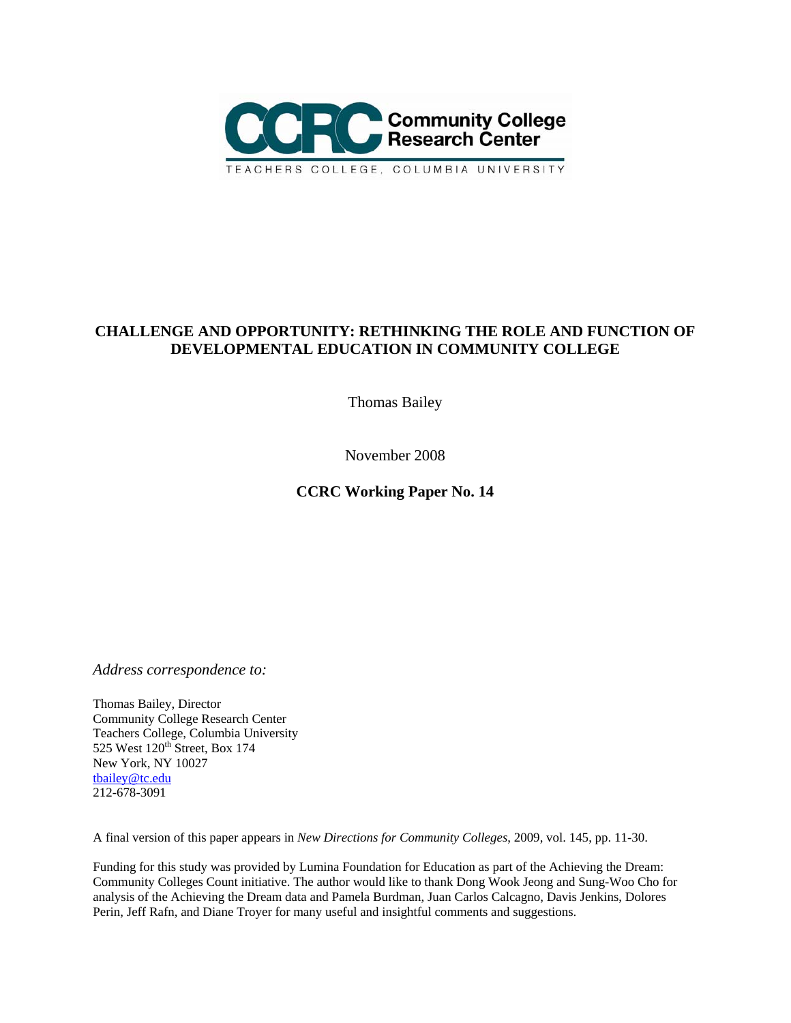

# **CHALLENGE AND OPPORTUNITY: RETHINKING THE ROLE AND FUNCTION OF DEVELOPMENTAL EDUCATION IN COMMUNITY COLLEGE**

Thomas Bailey

November 2008

## **CCRC Working Paper No. 14**

*Address correspondence to:* 

Thomas Bailey, Director Community College Research Center Teachers College, Columbia University 525 West 120<sup>th</sup> Street, Box 174 New York, NY 10027 [tbailey@tc.edu](mailto:tbailey@tc.edu) 212-678-3091

A final version of this paper appears in *New Directions for Community Colleges*, 2009, vol. 145, pp. 11-30.

Funding for this study was provided by Lumina Foundation for Education as part of the Achieving the Dream: Community Colleges Count initiative. The author would like to thank Dong Wook Jeong and Sung-Woo Cho for analysis of the Achieving the Dream data and Pamela Burdman, Juan Carlos Calcagno, Davis Jenkins, Dolores Perin, Jeff Rafn, and Diane Troyer for many useful and insightful comments and suggestions.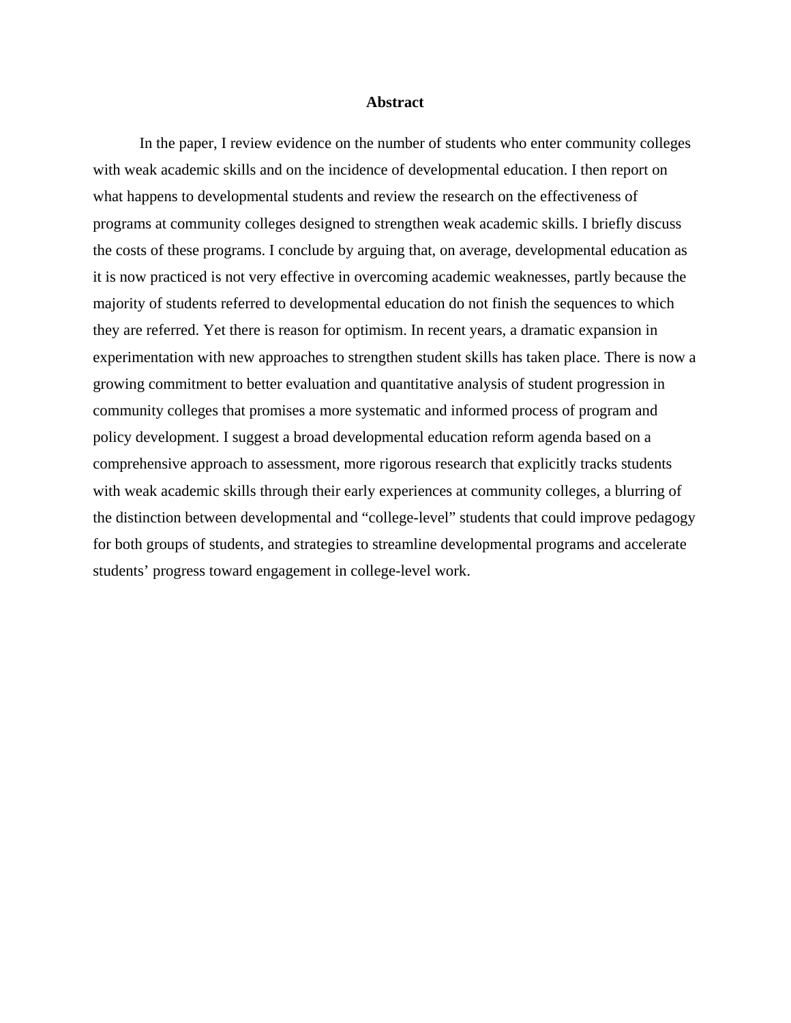#### **Abstract**

In the paper, I review evidence on the number of students who enter community colleges with weak academic skills and on the incidence of developmental education. I then report on what happens to developmental students and review the research on the effectiveness of programs at community colleges designed to strengthen weak academic skills. I briefly discuss the costs of these programs. I conclude by arguing that, on average, developmental education as it is now practiced is not very effective in overcoming academic weaknesses, partly because the majority of students referred to developmental education do not finish the sequences to which they are referred. Yet there is reason for optimism. In recent years, a dramatic expansion in experimentation with new approaches to strengthen student skills has taken place. There is now a growing commitment to better evaluation and quantitative analysis of student progression in community colleges that promises a more systematic and informed process of program and policy development. I suggest a broad developmental education reform agenda based on a comprehensive approach to assessment, more rigorous research that explicitly tracks students with weak academic skills through their early experiences at community colleges, a blurring of the distinction between developmental and "college-level" students that could improve pedagogy for both groups of students, and strategies to streamline developmental programs and accelerate students' progress toward engagement in college-level work.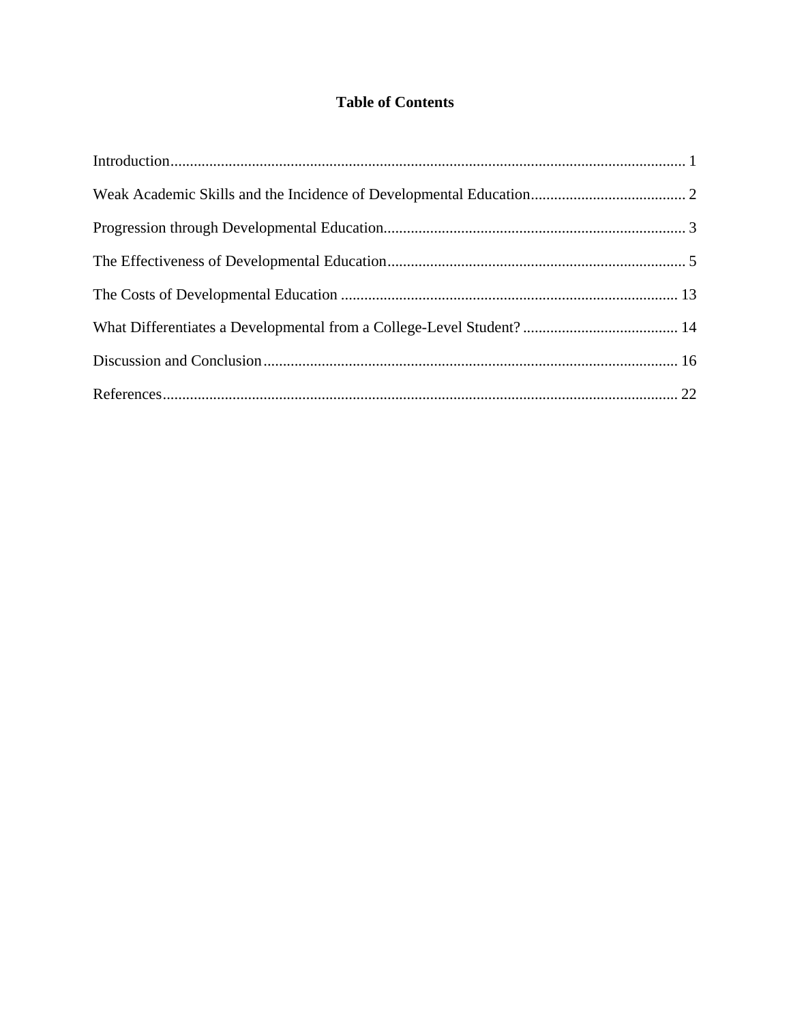# **Table of Contents**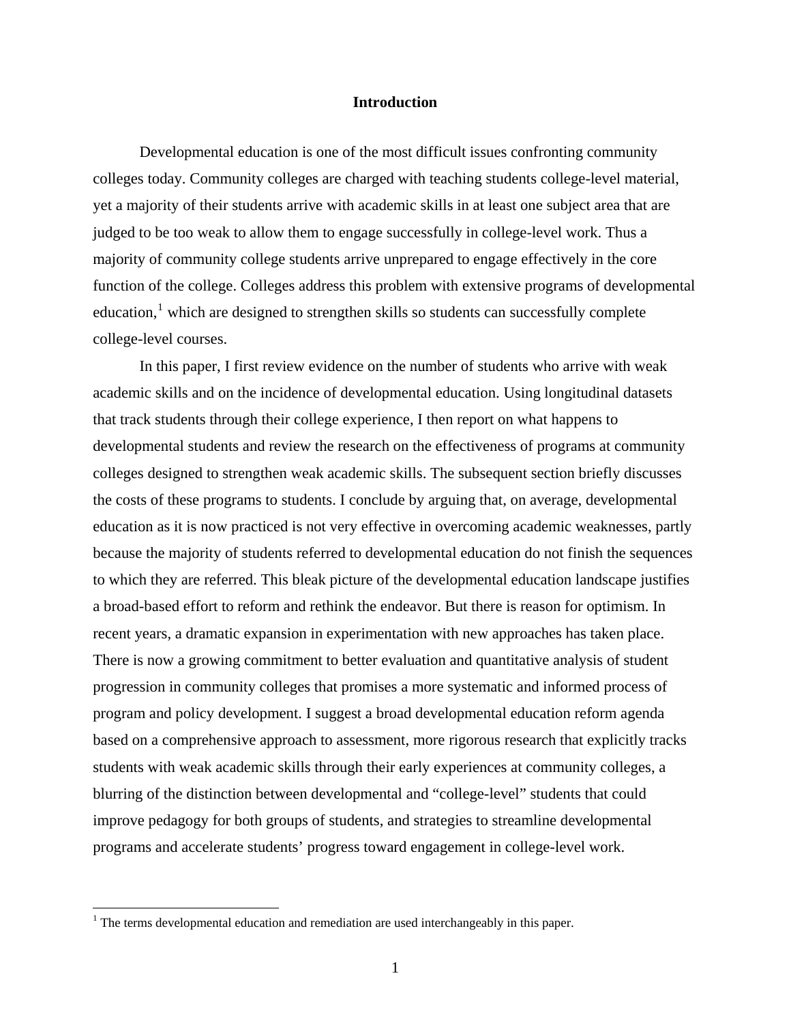#### **Introduction**

<span id="page-4-0"></span>Developmental education is one of the most difficult issues confronting community colleges today. Community colleges are charged with teaching students college-level material, yet a majority of their students arrive with academic skills in at least one subject area that are judged to be too weak to allow them to engage successfully in college-level work. Thus a majority of community college students arrive unprepared to engage effectively in the core function of the college. Colleges address this problem with extensive programs of developmental education,<sup>[1](#page-4-1)</sup> which are designed to strengthen skills so students can successfully complete college-level courses.

In this paper, I first review evidence on the number of students who arrive with weak academic skills and on the incidence of developmental education. Using longitudinal datasets that track students through their college experience, I then report on what happens to developmental students and review the research on the effectiveness of programs at community colleges designed to strengthen weak academic skills. The subsequent section briefly discusses the costs of these programs to students. I conclude by arguing that, on average, developmental education as it is now practiced is not very effective in overcoming academic weaknesses, partly because the majority of students referred to developmental education do not finish the sequences to which they are referred. This bleak picture of the developmental education landscape justifies a broad-based effort to reform and rethink the endeavor. But there is reason for optimism. In recent years, a dramatic expansion in experimentation with new approaches has taken place. There is now a growing commitment to better evaluation and quantitative analysis of student progression in community colleges that promises a more systematic and informed process of program and policy development. I suggest a broad developmental education reform agenda based on a comprehensive approach to assessment, more rigorous research that explicitly tracks students with weak academic skills through their early experiences at community colleges, a blurring of the distinction between developmental and "college-level" students that could improve pedagogy for both groups of students, and strategies to streamline developmental programs and accelerate students' progress toward engagement in college-level work.

<u>.</u>

<span id="page-4-1"></span> $<sup>1</sup>$  The terms developmental education and remediation are used interchangeably in this paper.</sup>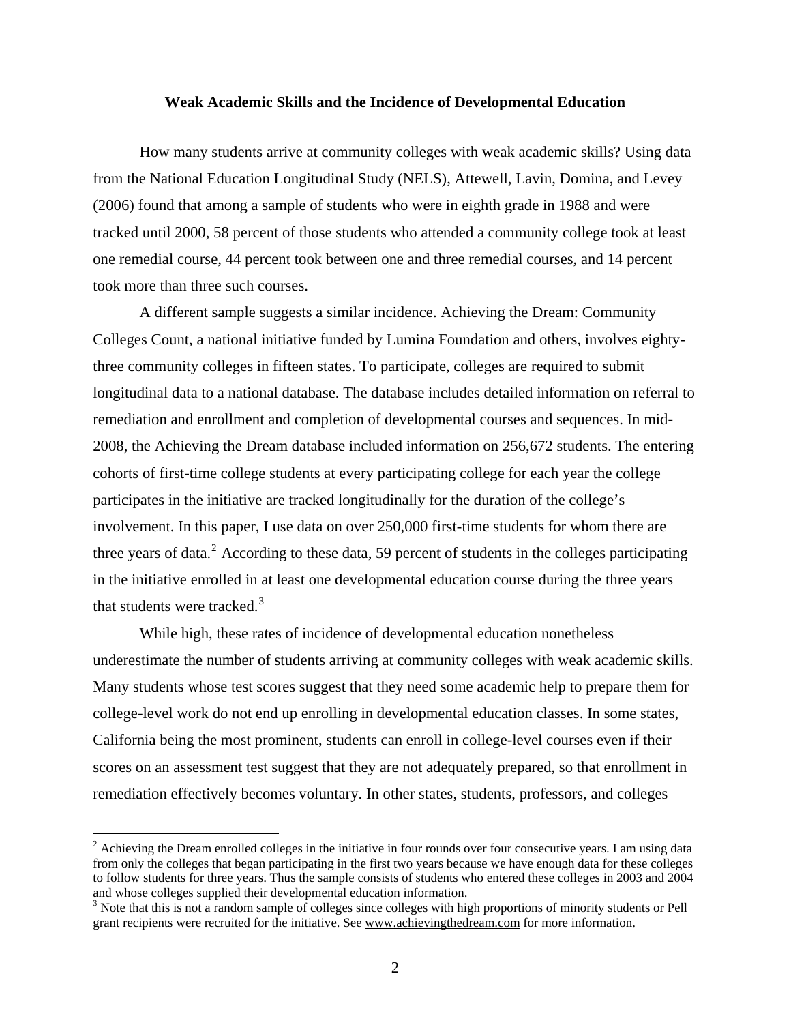#### **Weak Academic Skills and the Incidence of Developmental Education**

<span id="page-5-0"></span>How many students arrive at community colleges with weak academic skills? Using data from the National Education Longitudinal Study (NELS), Attewell, Lavin, Domina, and Levey (2006) found that among a sample of students who were in eighth grade in 1988 and were tracked until 2000, 58 percent of those students who attended a community college took at least one remedial course, 44 percent took between one and three remedial courses, and 14 percent took more than three such courses.

A different sample suggests a similar incidence. Achieving the Dream: Community Colleges Count, a national initiative funded by Lumina Foundation and others, involves eightythree community colleges in fifteen states. To participate, colleges are required to submit longitudinal data to a national database. The database includes detailed information on referral to remediation and enrollment and completion of developmental courses and sequences. In mid-2008, the Achieving the Dream database included information on 256,672 students. The entering cohorts of first-time college students at every participating college for each year the college participates in the initiative are tracked longitudinally for the duration of the college's involvement. In this paper, I use data on over 250,000 first-time students for whom there are three years of data.<sup>[2](#page-5-1)</sup> According to these data, 59 percent of students in the colleges participating in the initiative enrolled in at least one developmental education course during the three years that students were tracked.<sup>[3](#page-5-2)</sup>

 While high, these rates of incidence of developmental education nonetheless underestimate the number of students arriving at community colleges with weak academic skills. Many students whose test scores suggest that they need some academic help to prepare them for college-level work do not end up enrolling in developmental education classes. In some states, California being the most prominent, students can enroll in college-level courses even if their scores on an assessment test suggest that they are not adequately prepared, so that enrollment in remediation effectively becomes voluntary. In other states, students, professors, and colleges

 $\overline{a}$ 

<span id="page-5-1"></span> $2^2$  Achieving the Dream enrolled colleges in the initiative in four rounds over four consecutive years. I am using data from only the colleges that began participating in the first two years because we have enough data for these colleges to follow students for three years. Thus the sample consists of students who entered these colleges in 2003 and 2004 and whose colleges supplied their developmental education information.

<span id="page-5-2"></span><sup>&</sup>lt;sup>3</sup> Note that this is not a random sample of colleges since colleges with high proportions of minority students or Pell grant recipients were recruited for the initiative. See [www.achievingthedream.com](http://www.achievingthedream.com/) for more information.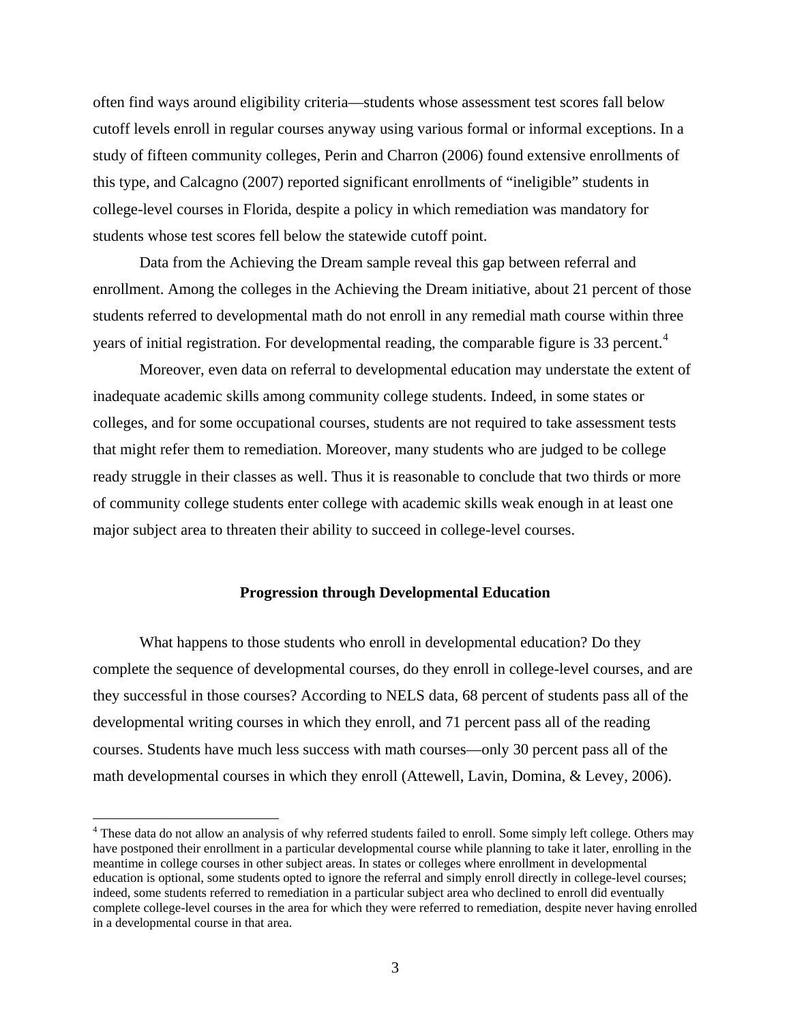<span id="page-6-0"></span>often find ways around eligibility criteria—students whose assessment test scores fall below cutoff levels enroll in regular courses anyway using various formal or informal exceptions. In a study of fifteen community colleges, Perin and Charron (2006) found extensive enrollments of this type, and Calcagno (2007) reported significant enrollments of "ineligible" students in college-level courses in Florida, despite a policy in which remediation was mandatory for students whose test scores fell below the statewide cutoff point.

Data from the Achieving the Dream sample reveal this gap between referral and enrollment. Among the colleges in the Achieving the Dream initiative, about 21 percent of those students referred to developmental math do not enroll in any remedial math course within three years of initial registration. For developmental reading, the comparable figure is 33 percent.<sup>[4](#page-6-1)</sup>

Moreover, even data on referral to developmental education may understate the extent of inadequate academic skills among community college students. Indeed, in some states or colleges, and for some occupational courses, students are not required to take assessment tests that might refer them to remediation. Moreover, many students who are judged to be college ready struggle in their classes as well. Thus it is reasonable to conclude that two thirds or more of community college students enter college with academic skills weak enough in at least one major subject area to threaten their ability to succeed in college-level courses.

#### **Progression through Developmental Education**

What happens to those students who enroll in developmental education? Do they complete the sequence of developmental courses, do they enroll in college-level courses, and are they successful in those courses? According to NELS data, 68 percent of students pass all of the developmental writing courses in which they enroll, and 71 percent pass all of the reading courses. Students have much less success with math courses—only 30 percent pass all of the math developmental courses in which they enroll (Attewell, Lavin, Domina, & Levey, 2006).

<u>.</u>

<span id="page-6-1"></span><sup>&</sup>lt;sup>4</sup> These data do not allow an analysis of why referred students failed to enroll. Some simply left college. Others may have postponed their enrollment in a particular developmental course while planning to take it later, enrolling in the meantime in college courses in other subject areas. In states or colleges where enrollment in developmental education is optional, some students opted to ignore the referral and simply enroll directly in college-level courses; indeed, some students referred to remediation in a particular subject area who declined to enroll did eventually complete college-level courses in the area for which they were referred to remediation, despite never having enrolled in a developmental course in that area.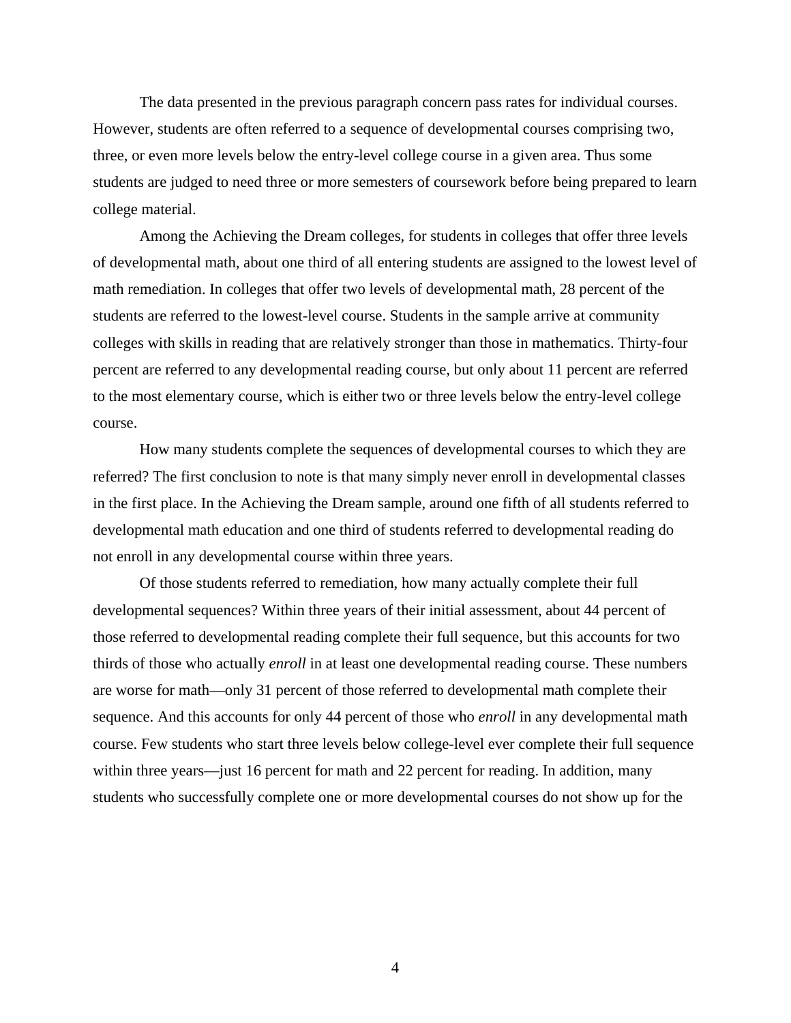The data presented in the previous paragraph concern pass rates for individual courses. However, students are often referred to a sequence of developmental courses comprising two, three, or even more levels below the entry-level college course in a given area. Thus some students are judged to need three or more semesters of coursework before being prepared to learn college material.

Among the Achieving the Dream colleges, for students in colleges that offer three levels of developmental math, about one third of all entering students are assigned to the lowest level of math remediation. In colleges that offer two levels of developmental math, 28 percent of the students are referred to the lowest-level course. Students in the sample arrive at community colleges with skills in reading that are relatively stronger than those in mathematics. Thirty-four percent are referred to any developmental reading course, but only about 11 percent are referred to the most elementary course, which is either two or three levels below the entry-level college course.

How many students complete the sequences of developmental courses to which they are referred? The first conclusion to note is that many simply never enroll in developmental classes in the first place. In the Achieving the Dream sample, around one fifth of all students referred to developmental math education and one third of students referred to developmental reading do not enroll in any developmental course within three years.

Of those students referred to remediation, how many actually complete their full developmental sequences? Within three years of their initial assessment, about 44 percent of those referred to developmental reading complete their full sequence, but this accounts for two thirds of those who actually *enroll* in at least one developmental reading course. These numbers are worse for math—only 31 percent of those referred to developmental math complete their sequence. And this accounts for only 44 percent of those who *enroll* in any developmental math course. Few students who start three levels below college-level ever complete their full sequence within three years—just 16 percent for math and 22 percent for reading. In addition, many students who successfully complete one or more developmental courses do not show up for the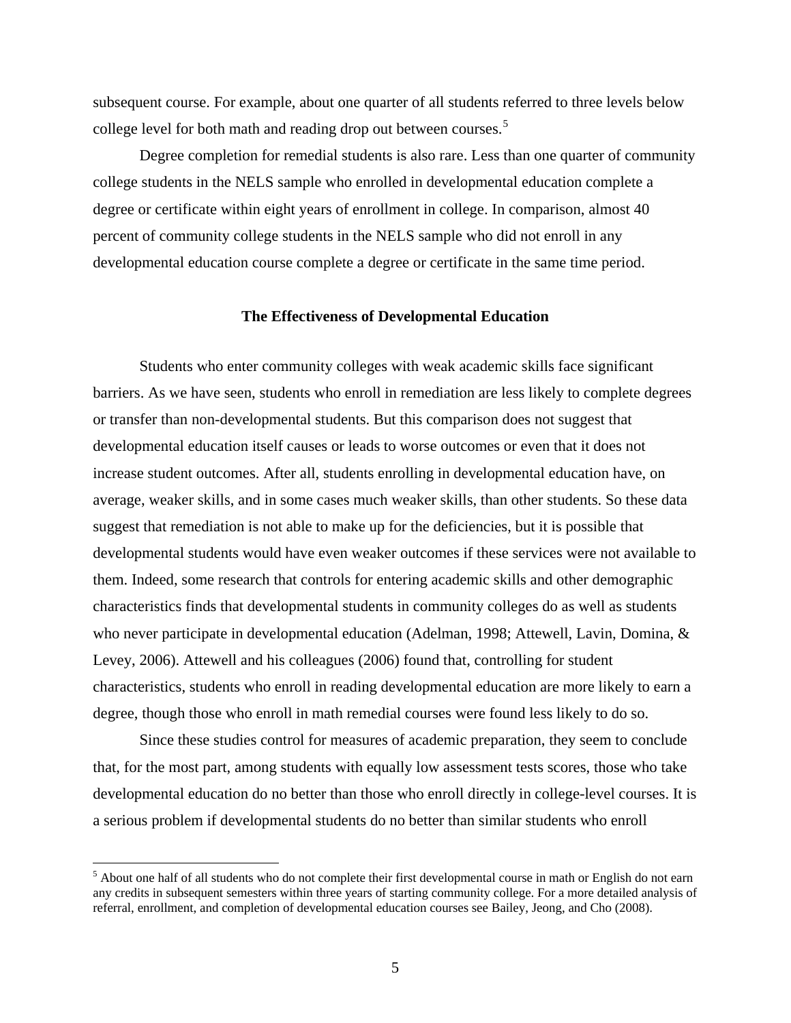<span id="page-8-0"></span>subsequent course. For example, about one quarter of all students referred to three levels below college level for both math and reading drop out between courses.<sup>[5](#page-8-1)</sup>

Degree completion for remedial students is also rare. Less than one quarter of community college students in the NELS sample who enrolled in developmental education complete a degree or certificate within eight years of enrollment in college. In comparison, almost 40 percent of community college students in the NELS sample who did not enroll in any developmental education course complete a degree or certificate in the same time period.

#### **The Effectiveness of Developmental Education**

Students who enter community colleges with weak academic skills face significant barriers. As we have seen, students who enroll in remediation are less likely to complete degrees or transfer than non-developmental students. But this comparison does not suggest that developmental education itself causes or leads to worse outcomes or even that it does not increase student outcomes. After all, students enrolling in developmental education have, on average, weaker skills, and in some cases much weaker skills, than other students. So these data suggest that remediation is not able to make up for the deficiencies, but it is possible that developmental students would have even weaker outcomes if these services were not available to them. Indeed, some research that controls for entering academic skills and other demographic characteristics finds that developmental students in community colleges do as well as students who never participate in developmental education (Adelman, 1998; Attewell, Lavin, Domina, & Levey, 2006). Attewell and his colleagues (2006) found that, controlling for student characteristics, students who enroll in reading developmental education are more likely to earn a degree, though those who enroll in math remedial courses were found less likely to do so.

 Since these studies control for measures of academic preparation, they seem to conclude that, for the most part, among students with equally low assessment tests scores, those who take developmental education do no better than those who enroll directly in college-level courses. It is a serious problem if developmental students do no better than similar students who enroll

<u>.</u>

<span id="page-8-1"></span> $<sup>5</sup>$  About one half of all students who do not complete their first developmental course in math or English do not earn</sup> any credits in subsequent semesters within three years of starting community college. For a more detailed analysis of referral, enrollment, and completion of developmental education courses see Bailey, Jeong, and Cho (2008).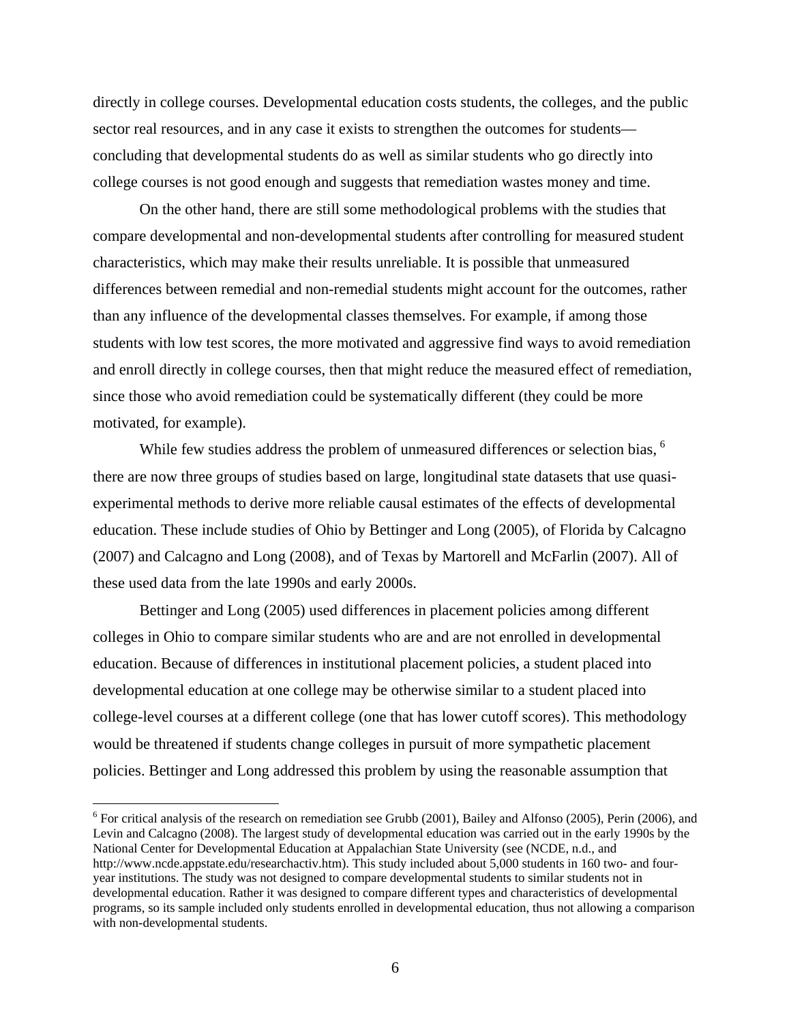directly in college courses. Developmental education costs students, the colleges, and the public sector real resources, and in any case it exists to strengthen the outcomes for students concluding that developmental students do as well as similar students who go directly into college courses is not good enough and suggests that remediation wastes money and time.

On the other hand, there are still some methodological problems with the studies that compare developmental and non-developmental students after controlling for measured student characteristics, which may make their results unreliable. It is possible that unmeasured differences between remedial and non-remedial students might account for the outcomes, rather than any influence of the developmental classes themselves. For example, if among those students with low test scores, the more motivated and aggressive find ways to avoid remediation and enroll directly in college courses, then that might reduce the measured effect of remediation, since those who avoid remediation could be systematically different (they could be more motivated, for example).

While few studies address the problem of unmeasured differences or selection bias, <sup>[6](#page-9-0)</sup> there are now three groups of studies based on large, longitudinal state datasets that use quasiexperimental methods to derive more reliable causal estimates of the effects of developmental education. These include studies of Ohio by Bettinger and Long (2005), of Florida by Calcagno (2007) and Calcagno and Long (2008), and of Texas by Martorell and McFarlin (2007). All of these used data from the late 1990s and early 2000s.

 Bettinger and Long (2005) used differences in placement policies among different colleges in Ohio to compare similar students who are and are not enrolled in developmental education. Because of differences in institutional placement policies, a student placed into developmental education at one college may be otherwise similar to a student placed into college-level courses at a different college (one that has lower cutoff scores). This methodology would be threatened if students change colleges in pursuit of more sympathetic placement policies. Bettinger and Long addressed this problem by using the reasonable assumption that

<span id="page-9-0"></span> $6$  For critical analysis of the research on remediation see Grubb (2001), Bailey and Alfonso (2005), Perin (2006), and Levin and Calcagno (2008). The largest study of developmental education was carried out in the early 1990s by the National Center for Developmental Education at Appalachian State University (see (NCDE, n.d., and http://www.ncde.appstate.edu/researchactiv.htm). This study included about 5,000 students in 160 two- and fouryear institutions. The study was not designed to compare developmental students to similar students not in developmental education. Rather it was designed to compare different types and characteristics of developmental programs, so its sample included only students enrolled in developmental education, thus not allowing a comparison with non-developmental students.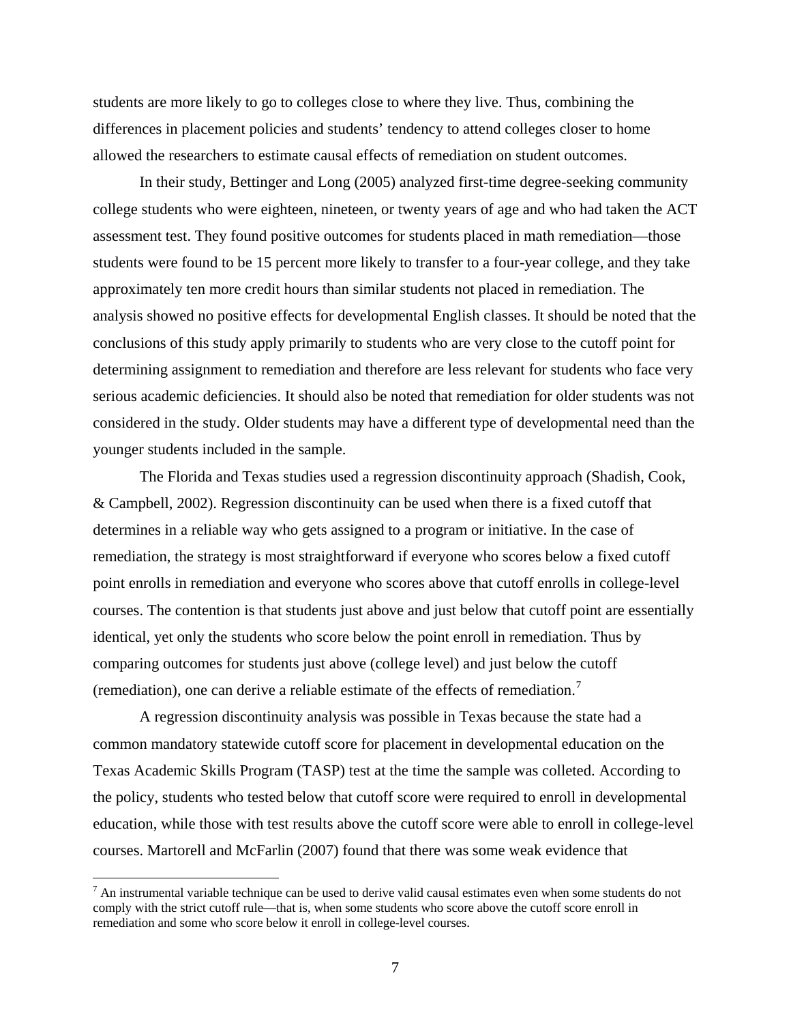students are more likely to go to colleges close to where they live. Thus, combining the differences in placement policies and students' tendency to attend colleges closer to home allowed the researchers to estimate causal effects of remediation on student outcomes.

 In their study, Bettinger and Long (2005) analyzed first-time degree-seeking community college students who were eighteen, nineteen, or twenty years of age and who had taken the ACT assessment test. They found positive outcomes for students placed in math remediation—those students were found to be 15 percent more likely to transfer to a four-year college, and they take approximately ten more credit hours than similar students not placed in remediation. The analysis showed no positive effects for developmental English classes. It should be noted that the conclusions of this study apply primarily to students who are very close to the cutoff point for determining assignment to remediation and therefore are less relevant for students who face very serious academic deficiencies. It should also be noted that remediation for older students was not considered in the study. Older students may have a different type of developmental need than the younger students included in the sample.

 The Florida and Texas studies used a regression discontinuity approach (Shadish, Cook, & Campbell, 2002). Regression discontinuity can be used when there is a fixed cutoff that determines in a reliable way who gets assigned to a program or initiative. In the case of remediation, the strategy is most straightforward if everyone who scores below a fixed cutoff point enrolls in remediation and everyone who scores above that cutoff enrolls in college-level courses. The contention is that students just above and just below that cutoff point are essentially identical, yet only the students who score below the point enroll in remediation. Thus by comparing outcomes for students just above (college level) and just below the cutoff (remediation), one can derive a reliable estimate of the effects of remediation.[7](#page-10-0)

 A regression discontinuity analysis was possible in Texas because the state had a common mandatory statewide cutoff score for placement in developmental education on the Texas Academic Skills Program (TASP) test at the time the sample was colleted. According to the policy, students who tested below that cutoff score were required to enroll in developmental education, while those with test results above the cutoff score were able to enroll in college-level courses. Martorell and McFarlin (2007) found that there was some weak evidence that

 $\overline{a}$ 

<span id="page-10-0"></span> $<sup>7</sup>$  An instrumental variable technique can be used to derive valid causal estimates even when some students do not</sup> comply with the strict cutoff rule—that is, when some students who score above the cutoff score enroll in remediation and some who score below it enroll in college-level courses.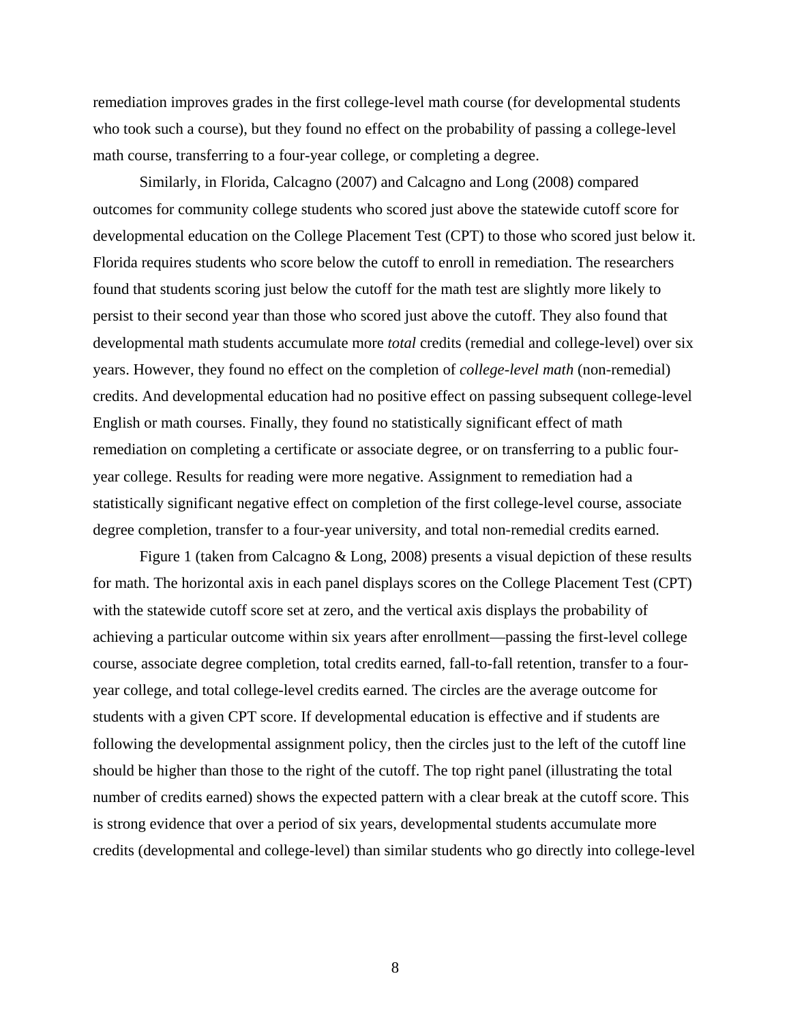remediation improves grades in the first college-level math course (for developmental students who took such a course), but they found no effect on the probability of passing a college-level math course, transferring to a four-year college, or completing a degree.

Similarly, in Florida, Calcagno (2007) and Calcagno and Long (2008) compared outcomes for community college students who scored just above the statewide cutoff score for developmental education on the College Placement Test (CPT) to those who scored just below it. Florida requires students who score below the cutoff to enroll in remediation. The researchers found that students scoring just below the cutoff for the math test are slightly more likely to persist to their second year than those who scored just above the cutoff. They also found that developmental math students accumulate more *total* credits (remedial and college-level) over six years. However, they found no effect on the completion of *college-level math* (non-remedial) credits. And developmental education had no positive effect on passing subsequent college-level English or math courses. Finally, they found no statistically significant effect of math remediation on completing a certificate or associate degree, or on transferring to a public fouryear college. Results for reading were more negative. Assignment to remediation had a statistically significant negative effect on completion of the first college-level course, associate degree completion, transfer to a four-year university, and total non-remedial credits earned.

Figure 1 (taken from Calcagno & Long, 2008) presents a visual depiction of these results for math. The horizontal axis in each panel displays scores on the College Placement Test (CPT) with the statewide cutoff score set at zero, and the vertical axis displays the probability of achieving a particular outcome within six years after enrollment—passing the first-level college course, associate degree completion, total credits earned, fall-to-fall retention, transfer to a fouryear college, and total college-level credits earned. The circles are the average outcome for students with a given CPT score. If developmental education is effective and if students are following the developmental assignment policy, then the circles just to the left of the cutoff line should be higher than those to the right of the cutoff. The top right panel (illustrating the total number of credits earned) shows the expected pattern with a clear break at the cutoff score. This is strong evidence that over a period of six years, developmental students accumulate more credits (developmental and college-level) than similar students who go directly into college-level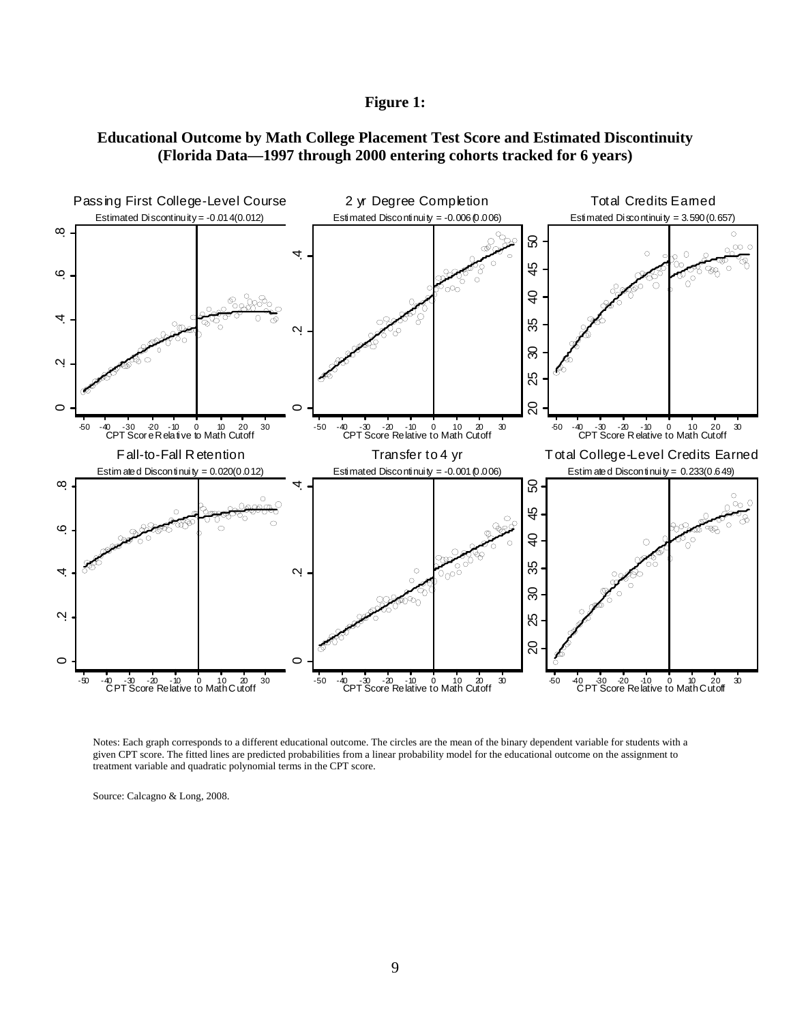### **Figure 1:**

## **Educational Outcome by Math College Placement Test Score and Estimated Discontinuity (Florida Data—1997 through 2000 entering cohorts tracked for 6 years)**



Notes: Each graph corresponds to a different educational outcome. The circles are the mean of the binary dependent variable for students with a given CPT score. The fitted lines are predicted probabilities from a linear probability model for the educational outcome on the assignment to treatment variable and quadratic polynomial terms in the CPT score.

Source: Calcagno & Long, 2008.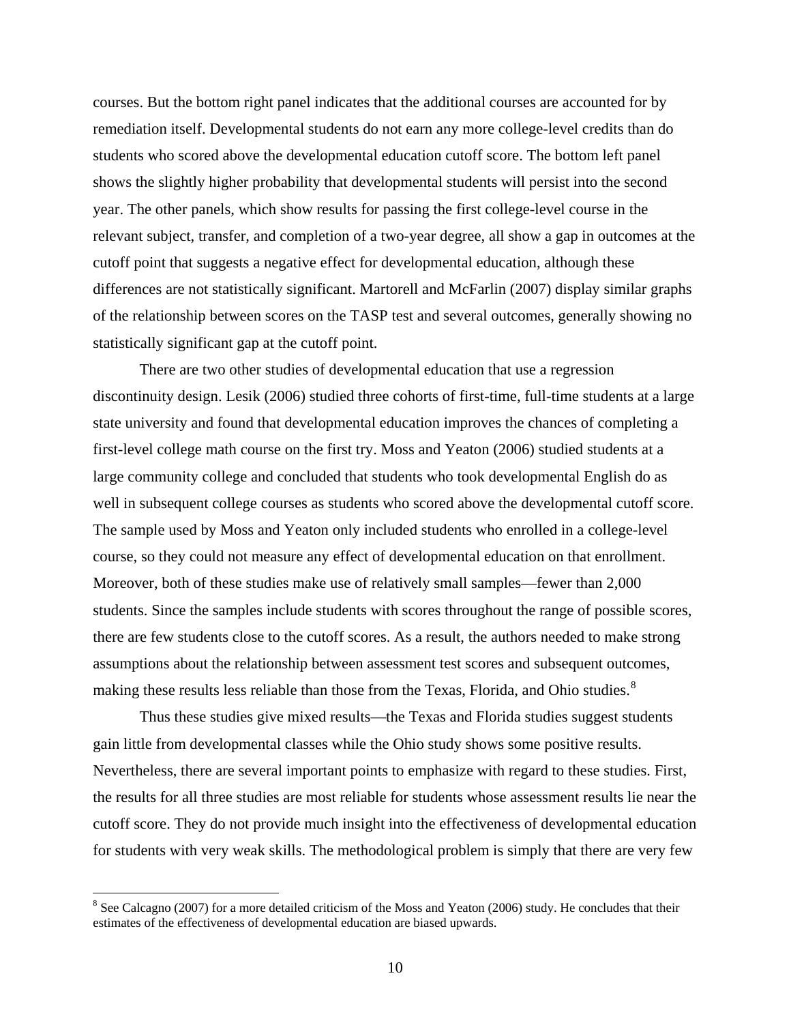courses. But the bottom right panel indicates that the additional courses are accounted for by remediation itself. Developmental students do not earn any more college-level credits than do students who scored above the developmental education cutoff score. The bottom left panel shows the slightly higher probability that developmental students will persist into the second year. The other panels, which show results for passing the first college-level course in the relevant subject, transfer, and completion of a two-year degree, all show a gap in outcomes at the cutoff point that suggests a negative effect for developmental education, although these differences are not statistically significant. Martorell and McFarlin (2007) display similar graphs of the relationship between scores on the TASP test and several outcomes, generally showing no statistically significant gap at the cutoff point.

There are two other studies of developmental education that use a regression discontinuity design. Lesik (2006) studied three cohorts of first-time, full-time students at a large state university and found that developmental education improves the chances of completing a first-level college math course on the first try. Moss and Yeaton (2006) studied students at a large community college and concluded that students who took developmental English do as well in subsequent college courses as students who scored above the developmental cutoff score. The sample used by Moss and Yeaton only included students who enrolled in a college-level course, so they could not measure any effect of developmental education on that enrollment. Moreover, both of these studies make use of relatively small samples—fewer than 2,000 students. Since the samples include students with scores throughout the range of possible scores, there are few students close to the cutoff scores. As a result, the authors needed to make strong assumptions about the relationship between assessment test scores and subsequent outcomes, making these results less reliable than those from the Texas, Florida, and Ohio studies.<sup>[8](#page-13-0)</sup>

 Thus these studies give mixed results—the Texas and Florida studies suggest students gain little from developmental classes while the Ohio study shows some positive results. Nevertheless, there are several important points to emphasize with regard to these studies. First, the results for all three studies are most reliable for students whose assessment results lie near the cutoff score. They do not provide much insight into the effectiveness of developmental education for students with very weak skills. The methodological problem is simply that there are very few

<span id="page-13-0"></span> $8$  See Calcagno (2007) for a more detailed criticism of the Moss and Yeaton (2006) study. He concludes that their estimates of the effectiveness of developmental education are biased upwards.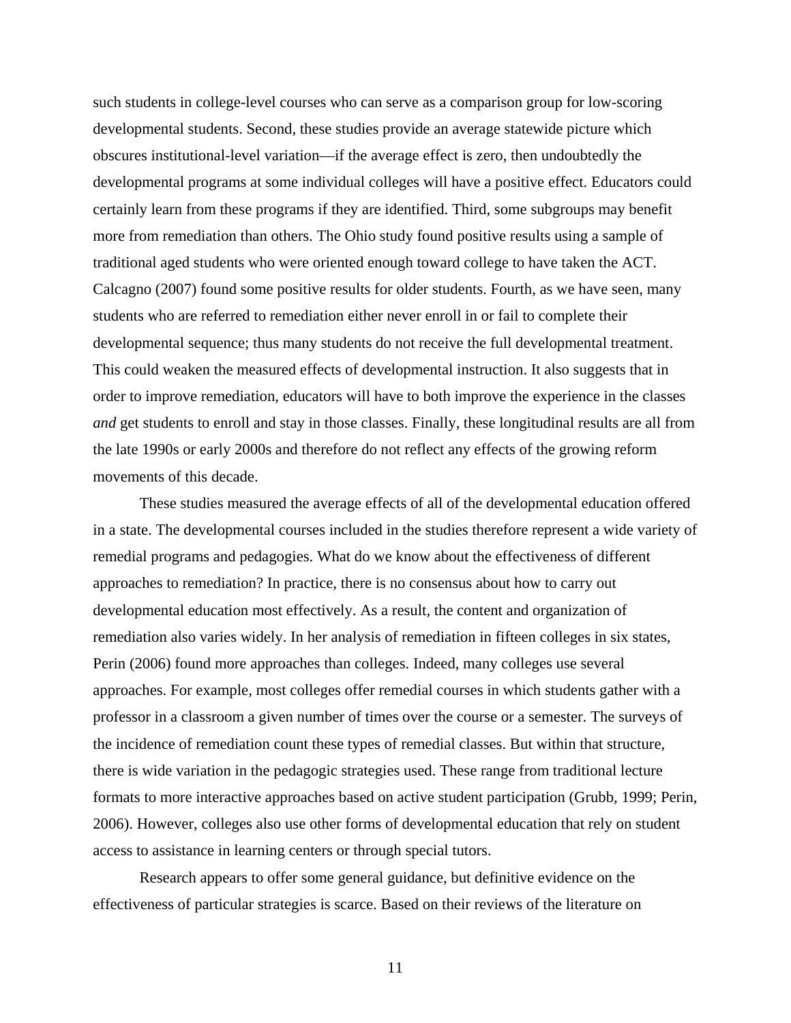such students in college-level courses who can serve as a comparison group for low-scoring developmental students. Second, these studies provide an average statewide picture which obscures institutional-level variation—if the average effect is zero, then undoubtedly the developmental programs at some individual colleges will have a positive effect. Educators could certainly learn from these programs if they are identified. Third, some subgroups may benefit more from remediation than others. The Ohio study found positive results using a sample of traditional aged students who were oriented enough toward college to have taken the ACT. Calcagno (2007) found some positive results for older students. Fourth, as we have seen, many students who are referred to remediation either never enroll in or fail to complete their developmental sequence; thus many students do not receive the full developmental treatment. This could weaken the measured effects of developmental instruction. It also suggests that in order to improve remediation, educators will have to both improve the experience in the classes *and* get students to enroll and stay in those classes. Finally, these longitudinal results are all from the late 1990s or early 2000s and therefore do not reflect any effects of the growing reform movements of this decade.

These studies measured the average effects of all of the developmental education offered in a state. The developmental courses included in the studies therefore represent a wide variety of remedial programs and pedagogies. What do we know about the effectiveness of different approaches to remediation? In practice, there is no consensus about how to carry out developmental education most effectively. As a result, the content and organization of remediation also varies widely. In her analysis of remediation in fifteen colleges in six states, Perin (2006) found more approaches than colleges. Indeed, many colleges use several approaches. For example, most colleges offer remedial courses in which students gather with a professor in a classroom a given number of times over the course or a semester. The surveys of the incidence of remediation count these types of remedial classes. But within that structure, there is wide variation in the pedagogic strategies used. These range from traditional lecture formats to more interactive approaches based on active student participation (Grubb, 1999; Perin, 2006). However, colleges also use other forms of developmental education that rely on student access to assistance in learning centers or through special tutors.

Research appears to offer some general guidance, but definitive evidence on the effectiveness of particular strategies is scarce. Based on their reviews of the literature on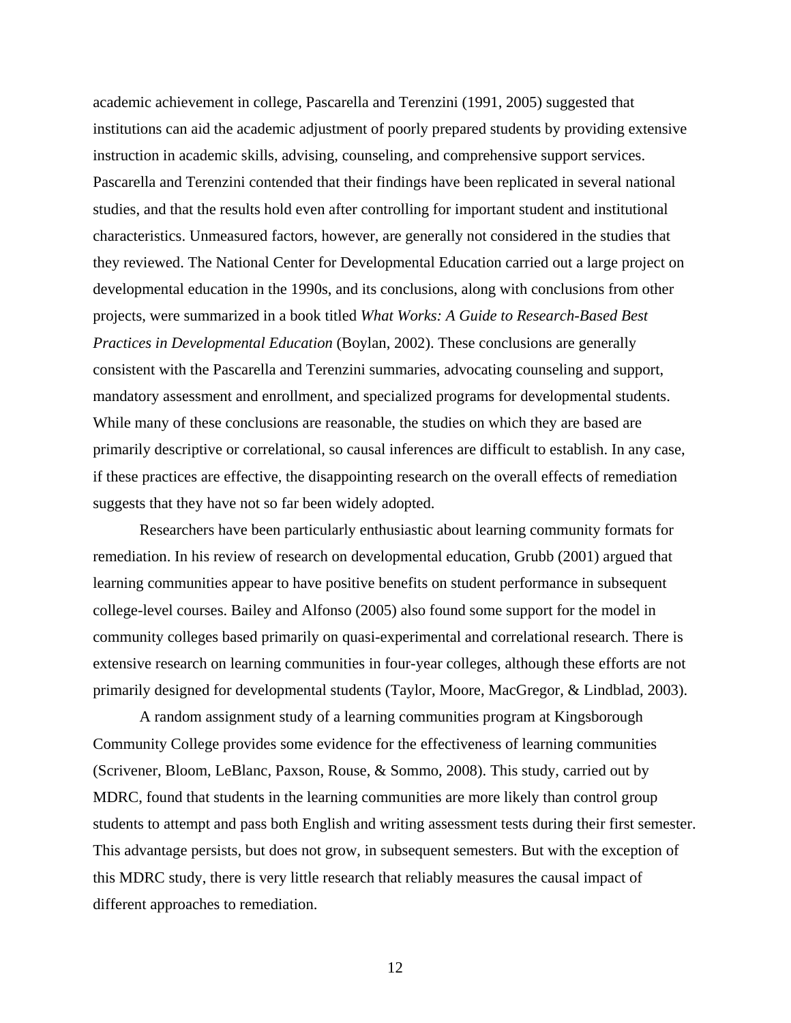academic achievement in college, Pascarella and Terenzini (1991, 2005) suggested that institutions can aid the academic adjustment of poorly prepared students by providing extensive instruction in academic skills, advising, counseling, and comprehensive support services. Pascarella and Terenzini contended that their findings have been replicated in several national studies, and that the results hold even after controlling for important student and institutional characteristics. Unmeasured factors, however, are generally not considered in the studies that they reviewed. The National Center for Developmental Education carried out a large project on developmental education in the 1990s, and its conclusions, along with conclusions from other projects, were summarized in a book titled *What Works: A Guide to Research-Based Best Practices in Developmental Education* (Boylan, 2002). These conclusions are generally consistent with the Pascarella and Terenzini summaries, advocating counseling and support, mandatory assessment and enrollment, and specialized programs for developmental students. While many of these conclusions are reasonable, the studies on which they are based are primarily descriptive or correlational, so causal inferences are difficult to establish. In any case, if these practices are effective, the disappointing research on the overall effects of remediation suggests that they have not so far been widely adopted.

 Researchers have been particularly enthusiastic about learning community formats for remediation. In his review of research on developmental education, Grubb (2001) argued that learning communities appear to have positive benefits on student performance in subsequent college-level courses. Bailey and Alfonso (2005) also found some support for the model in community colleges based primarily on quasi-experimental and correlational research. There is extensive research on learning communities in four-year colleges, although these efforts are not primarily designed for developmental students (Taylor, Moore, MacGregor, & Lindblad, 2003).

 A random assignment study of a learning communities program at Kingsborough Community College provides some evidence for the effectiveness of learning communities (Scrivener, Bloom, LeBlanc, Paxson, Rouse, & Sommo, 2008). This study, carried out by MDRC, found that students in the learning communities are more likely than control group students to attempt and pass both English and writing assessment tests during their first semester. This advantage persists, but does not grow, in subsequent semesters. But with the exception of this MDRC study, there is very little research that reliably measures the causal impact of different approaches to remediation.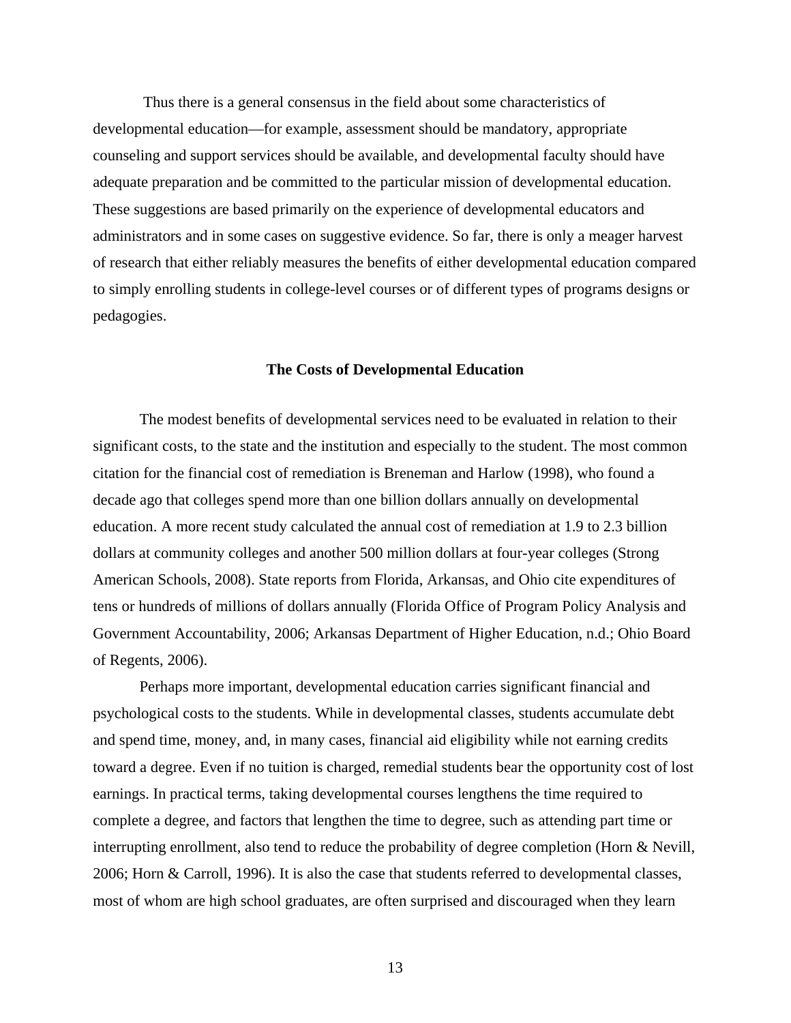<span id="page-16-0"></span> Thus there is a general consensus in the field about some characteristics of developmental education—for example, assessment should be mandatory, appropriate counseling and support services should be available, and developmental faculty should have adequate preparation and be committed to the particular mission of developmental education. These suggestions are based primarily on the experience of developmental educators and administrators and in some cases on suggestive evidence. So far, there is only a meager harvest of research that either reliably measures the benefits of either developmental education compared to simply enrolling students in college-level courses or of different types of programs designs or pedagogies.

#### **The Costs of Developmental Education**

The modest benefits of developmental services need to be evaluated in relation to their significant costs, to the state and the institution and especially to the student. The most common citation for the financial cost of remediation is Breneman and Harlow (1998), who found a decade ago that colleges spend more than one billion dollars annually on developmental education. A more recent study calculated the annual cost of remediation at 1.9 to 2.3 billion dollars at community colleges and another 500 million dollars at four-year colleges (Strong American Schools, 2008). State reports from Florida, Arkansas, and Ohio cite expenditures of tens or hundreds of millions of dollars annually (Florida Office of Program Policy Analysis and Government Accountability, 2006; Arkansas Department of Higher Education, n.d.; Ohio Board of Regents, 2006).

Perhaps more important, developmental education carries significant financial and psychological costs to the students. While in developmental classes, students accumulate debt and spend time, money, and, in many cases, financial aid eligibility while not earning credits toward a degree. Even if no tuition is charged, remedial students bear the opportunity cost of lost earnings. In practical terms, taking developmental courses lengthens the time required to complete a degree, and factors that lengthen the time to degree, such as attending part time or interrupting enrollment, also tend to reduce the probability of degree completion (Horn & Nevill, 2006; Horn & Carroll, 1996). It is also the case that students referred to developmental classes, most of whom are high school graduates, are often surprised and discouraged when they learn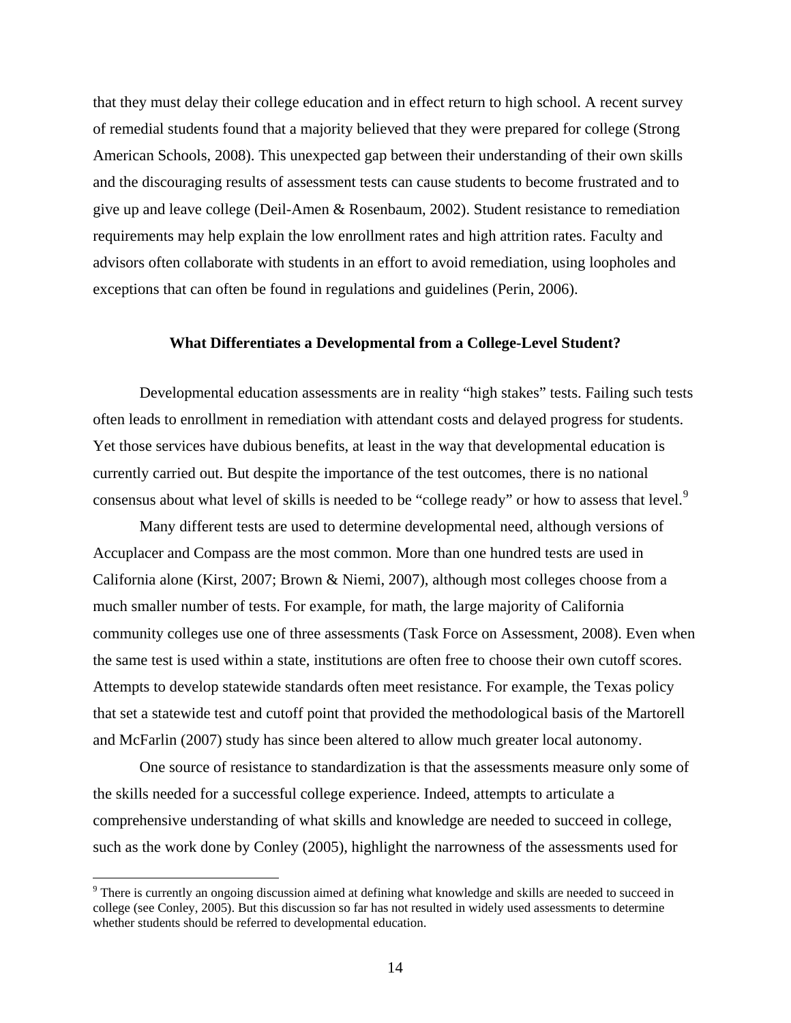<span id="page-17-0"></span>that they must delay their college education and in effect return to high school. A recent survey of remedial students found that a majority believed that they were prepared for college (Strong American Schools, 2008). This unexpected gap between their understanding of their own skills and the discouraging results of assessment tests can cause students to become frustrated and to give up and leave college (Deil-Amen & Rosenbaum, 2002). Student resistance to remediation requirements may help explain the low enrollment rates and high attrition rates. Faculty and advisors often collaborate with students in an effort to avoid remediation, using loopholes and exceptions that can often be found in regulations and guidelines (Perin, 2006).

#### **What Differentiates a Developmental from a College-Level Student?**

Developmental education assessments are in reality "high stakes" tests. Failing such tests often leads to enrollment in remediation with attendant costs and delayed progress for students. Yet those services have dubious benefits, at least in the way that developmental education is currently carried out. But despite the importance of the test outcomes, there is no national consensus about what level of skills is needed to be "college ready" or how to assess that level.<sup>[9](#page-17-1)</sup>

Many different tests are used to determine developmental need, although versions of Accuplacer and Compass are the most common. More than one hundred tests are used in California alone (Kirst, 2007; Brown & Niemi, 2007), although most colleges choose from a much smaller number of tests. For example, for math, the large majority of California community colleges use one of three assessments (Task Force on Assessment, 2008). Even when the same test is used within a state, institutions are often free to choose their own cutoff scores. Attempts to develop statewide standards often meet resistance. For example, the Texas policy that set a statewide test and cutoff point that provided the methodological basis of the Martorell and McFarlin (2007) study has since been altered to allow much greater local autonomy.

 One source of resistance to standardization is that the assessments measure only some of the skills needed for a successful college experience. Indeed, attempts to articulate a comprehensive understanding of what skills and knowledge are needed to succeed in college, such as the work done by Conley (2005), highlight the narrowness of the assessments used for

<span id="page-17-1"></span><sup>&</sup>lt;sup>9</sup> There is currently an ongoing discussion aimed at defining what knowledge and skills are needed to succeed in college (see Conley, 2005). But this discussion so far has not resulted in widely used assessments to determine whether students should be referred to developmental education.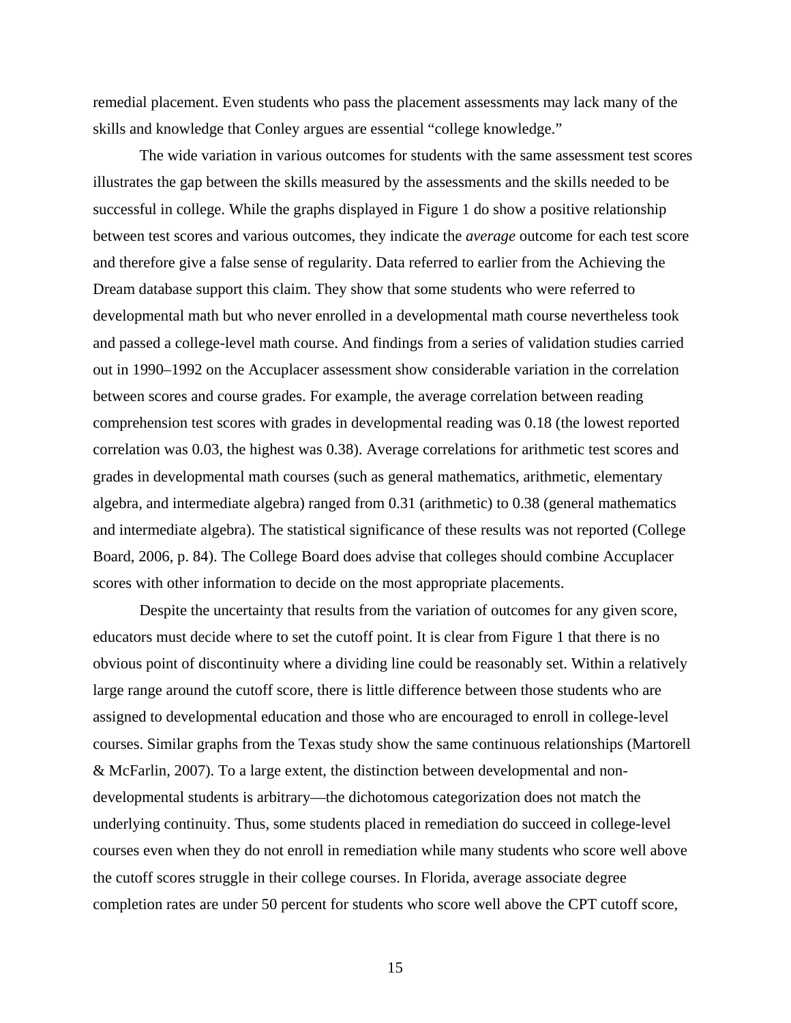remedial placement. Even students who pass the placement assessments may lack many of the skills and knowledge that Conley argues are essential "college knowledge."

The wide variation in various outcomes for students with the same assessment test scores illustrates the gap between the skills measured by the assessments and the skills needed to be successful in college. While the graphs displayed in Figure 1 do show a positive relationship between test scores and various outcomes, they indicate the *average* outcome for each test score and therefore give a false sense of regularity. Data referred to earlier from the Achieving the Dream database support this claim. They show that some students who were referred to developmental math but who never enrolled in a developmental math course nevertheless took and passed a college-level math course. And findings from a series of validation studies carried out in 1990–1992 on the Accuplacer assessment show considerable variation in the correlation between scores and course grades. For example, the average correlation between reading comprehension test scores with grades in developmental reading was 0.18 (the lowest reported correlation was 0.03, the highest was 0.38). Average correlations for arithmetic test scores and grades in developmental math courses (such as general mathematics, arithmetic, elementary algebra, and intermediate algebra) ranged from 0.31 (arithmetic) to 0.38 (general mathematics and intermediate algebra). The statistical significance of these results was not reported (College Board, 2006, p. 84). The College Board does advise that colleges should combine Accuplacer scores with other information to decide on the most appropriate placements.

 Despite the uncertainty that results from the variation of outcomes for any given score, educators must decide where to set the cutoff point. It is clear from Figure 1 that there is no obvious point of discontinuity where a dividing line could be reasonably set. Within a relatively large range around the cutoff score, there is little difference between those students who are assigned to developmental education and those who are encouraged to enroll in college-level courses. Similar graphs from the Texas study show the same continuous relationships (Martorell & McFarlin, 2007). To a large extent, the distinction between developmental and nondevelopmental students is arbitrary—the dichotomous categorization does not match the underlying continuity. Thus, some students placed in remediation do succeed in college-level courses even when they do not enroll in remediation while many students who score well above the cutoff scores struggle in their college courses. In Florida, average associate degree completion rates are under 50 percent for students who score well above the CPT cutoff score,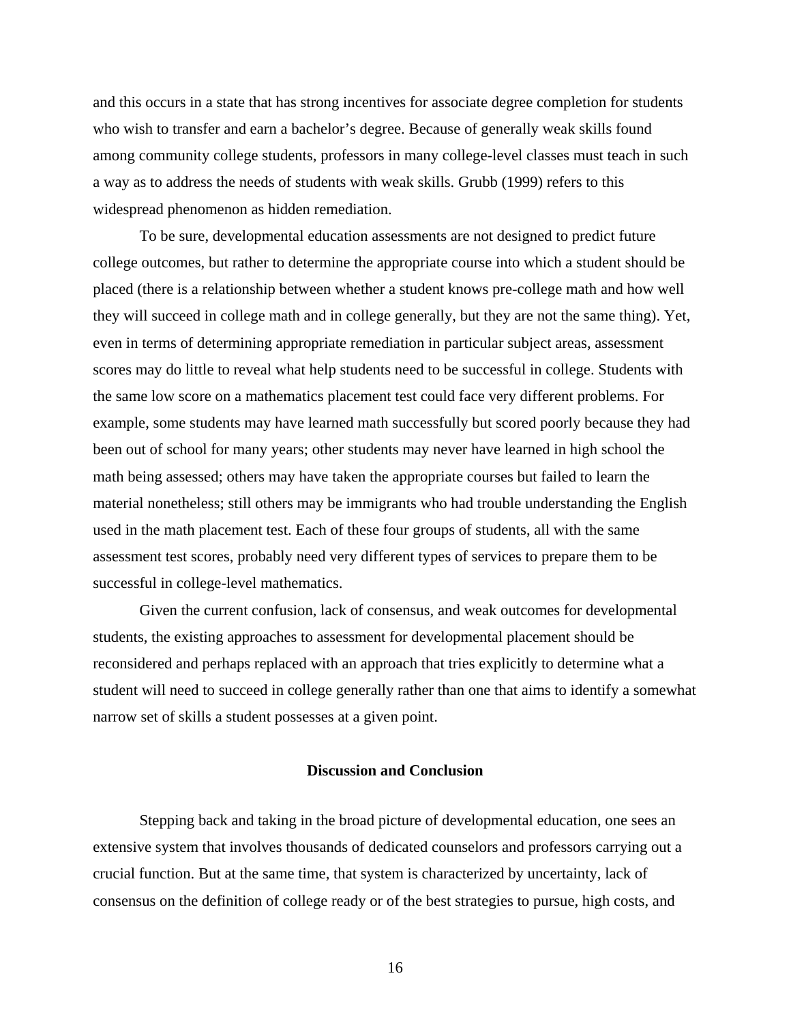<span id="page-19-0"></span>and this occurs in a state that has strong incentives for associate degree completion for students who wish to transfer and earn a bachelor's degree. Because of generally weak skills found among community college students, professors in many college-level classes must teach in such a way as to address the needs of students with weak skills. Grubb (1999) refers to this widespread phenomenon as hidden remediation.

 To be sure, developmental education assessments are not designed to predict future college outcomes, but rather to determine the appropriate course into which a student should be placed (there is a relationship between whether a student knows pre-college math and how well they will succeed in college math and in college generally, but they are not the same thing). Yet, even in terms of determining appropriate remediation in particular subject areas, assessment scores may do little to reveal what help students need to be successful in college. Students with the same low score on a mathematics placement test could face very different problems. For example, some students may have learned math successfully but scored poorly because they had been out of school for many years; other students may never have learned in high school the math being assessed; others may have taken the appropriate courses but failed to learn the material nonetheless; still others may be immigrants who had trouble understanding the English used in the math placement test. Each of these four groups of students, all with the same assessment test scores, probably need very different types of services to prepare them to be successful in college-level mathematics.

Given the current confusion, lack of consensus, and weak outcomes for developmental students, the existing approaches to assessment for developmental placement should be reconsidered and perhaps replaced with an approach that tries explicitly to determine what a student will need to succeed in college generally rather than one that aims to identify a somewhat narrow set of skills a student possesses at a given point.

## **Discussion and Conclusion**

Stepping back and taking in the broad picture of developmental education, one sees an extensive system that involves thousands of dedicated counselors and professors carrying out a crucial function. But at the same time, that system is characterized by uncertainty, lack of consensus on the definition of college ready or of the best strategies to pursue, high costs, and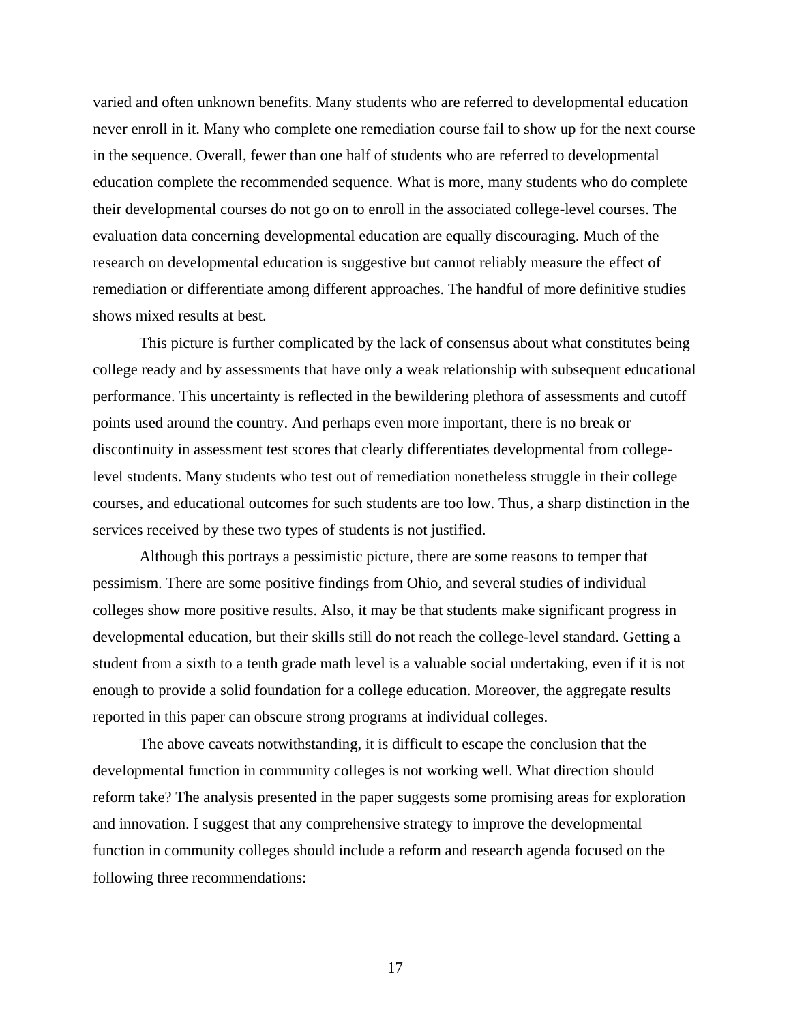varied and often unknown benefits. Many students who are referred to developmental education never enroll in it. Many who complete one remediation course fail to show up for the next course in the sequence. Overall, fewer than one half of students who are referred to developmental education complete the recommended sequence. What is more, many students who do complete their developmental courses do not go on to enroll in the associated college-level courses. The evaluation data concerning developmental education are equally discouraging. Much of the research on developmental education is suggestive but cannot reliably measure the effect of remediation or differentiate among different approaches. The handful of more definitive studies shows mixed results at best.

 This picture is further complicated by the lack of consensus about what constitutes being college ready and by assessments that have only a weak relationship with subsequent educational performance. This uncertainty is reflected in the bewildering plethora of assessments and cutoff points used around the country. And perhaps even more important, there is no break or discontinuity in assessment test scores that clearly differentiates developmental from collegelevel students. Many students who test out of remediation nonetheless struggle in their college courses, and educational outcomes for such students are too low. Thus, a sharp distinction in the services received by these two types of students is not justified.

 Although this portrays a pessimistic picture, there are some reasons to temper that pessimism. There are some positive findings from Ohio, and several studies of individual colleges show more positive results. Also, it may be that students make significant progress in developmental education, but their skills still do not reach the college-level standard. Getting a student from a sixth to a tenth grade math level is a valuable social undertaking, even if it is not enough to provide a solid foundation for a college education. Moreover, the aggregate results reported in this paper can obscure strong programs at individual colleges.

 The above caveats notwithstanding, it is difficult to escape the conclusion that the developmental function in community colleges is not working well. What direction should reform take? The analysis presented in the paper suggests some promising areas for exploration and innovation. I suggest that any comprehensive strategy to improve the developmental function in community colleges should include a reform and research agenda focused on the following three recommendations: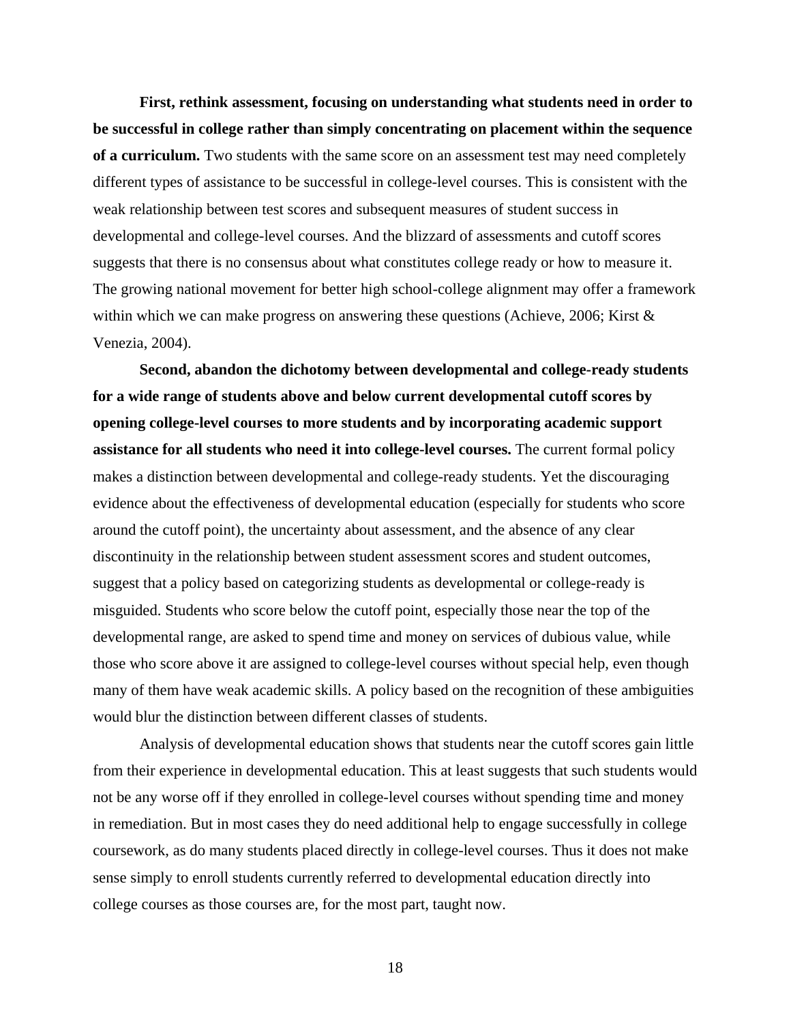**First, rethink assessment, focusing on understanding what students need in order to be successful in college rather than simply concentrating on placement within the sequence of a curriculum.** Two students with the same score on an assessment test may need completely different types of assistance to be successful in college-level courses. This is consistent with the weak relationship between test scores and subsequent measures of student success in developmental and college-level courses. And the blizzard of assessments and cutoff scores suggests that there is no consensus about what constitutes college ready or how to measure it. The growing national movement for better high school-college alignment may offer a framework within which we can make progress on answering these questions (Achieve, 2006; Kirst  $\&$ Venezia, 2004).

**Second, abandon the dichotomy between developmental and college-ready students for a wide range of students above and below current developmental cutoff scores by opening college-level courses to more students and by incorporating academic support assistance for all students who need it into college-level courses.** The current formal policy makes a distinction between developmental and college-ready students. Yet the discouraging evidence about the effectiveness of developmental education (especially for students who score around the cutoff point), the uncertainty about assessment, and the absence of any clear discontinuity in the relationship between student assessment scores and student outcomes, suggest that a policy based on categorizing students as developmental or college-ready is misguided. Students who score below the cutoff point, especially those near the top of the developmental range, are asked to spend time and money on services of dubious value, while those who score above it are assigned to college-level courses without special help, even though many of them have weak academic skills. A policy based on the recognition of these ambiguities would blur the distinction between different classes of students.

Analysis of developmental education shows that students near the cutoff scores gain little from their experience in developmental education. This at least suggests that such students would not be any worse off if they enrolled in college-level courses without spending time and money in remediation. But in most cases they do need additional help to engage successfully in college coursework, as do many students placed directly in college-level courses. Thus it does not make sense simply to enroll students currently referred to developmental education directly into college courses as those courses are, for the most part, taught now.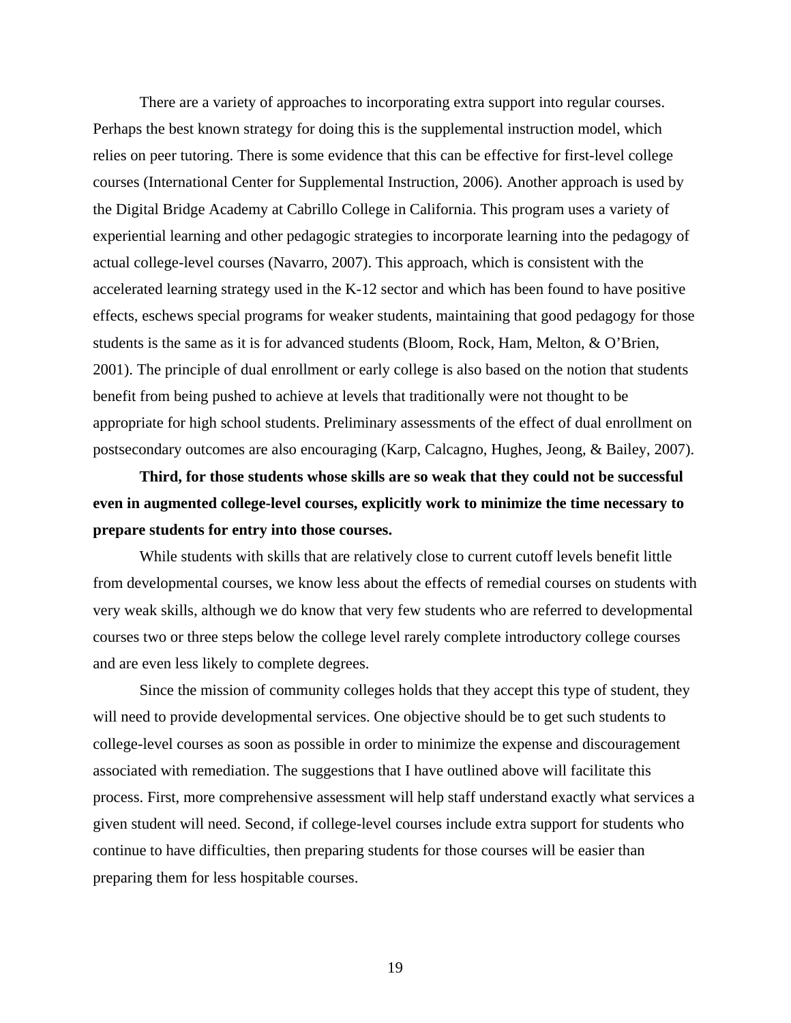There are a variety of approaches to incorporating extra support into regular courses. Perhaps the best known strategy for doing this is the supplemental instruction model, which relies on peer tutoring. There is some evidence that this can be effective for first-level college courses (International Center for Supplemental Instruction, 2006). Another approach is used by the Digital Bridge Academy at Cabrillo College in California. This program uses a variety of experiential learning and other pedagogic strategies to incorporate learning into the pedagogy of actual college-level courses (Navarro, 2007). This approach, which is consistent with the accelerated learning strategy used in the K-12 sector and which has been found to have positive effects, eschews special programs for weaker students, maintaining that good pedagogy for those students is the same as it is for advanced students (Bloom, Rock, Ham, Melton, & O'Brien, 2001). The principle of dual enrollment or early college is also based on the notion that students benefit from being pushed to achieve at levels that traditionally were not thought to be appropriate for high school students. Preliminary assessments of the effect of dual enrollment on postsecondary outcomes are also encouraging (Karp, Calcagno, Hughes, Jeong, & Bailey, 2007).

**Third, for those students whose skills are so weak that they could not be successful even in augmented college-level courses, explicitly work to minimize the time necessary to prepare students for entry into those courses.** 

 While students with skills that are relatively close to current cutoff levels benefit little from developmental courses, we know less about the effects of remedial courses on students with very weak skills, although we do know that very few students who are referred to developmental courses two or three steps below the college level rarely complete introductory college courses and are even less likely to complete degrees.

Since the mission of community colleges holds that they accept this type of student, they will need to provide developmental services. One objective should be to get such students to college-level courses as soon as possible in order to minimize the expense and discouragement associated with remediation. The suggestions that I have outlined above will facilitate this process. First, more comprehensive assessment will help staff understand exactly what services a given student will need. Second, if college-level courses include extra support for students who continue to have difficulties, then preparing students for those courses will be easier than preparing them for less hospitable courses.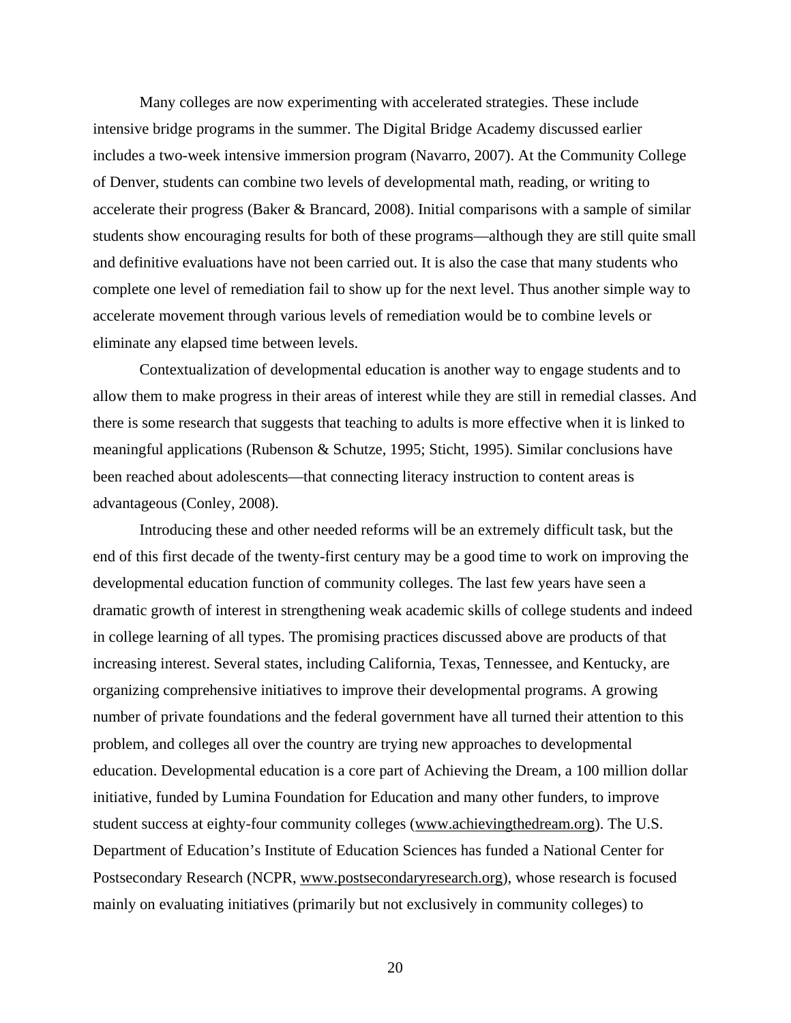Many colleges are now experimenting with accelerated strategies. These include intensive bridge programs in the summer. The Digital Bridge Academy discussed earlier includes a two-week intensive immersion program (Navarro, 2007). At the Community College of Denver, students can combine two levels of developmental math, reading, or writing to accelerate their progress (Baker & Brancard, 2008). Initial comparisons with a sample of similar students show encouraging results for both of these programs—although they are still quite small and definitive evaluations have not been carried out. It is also the case that many students who complete one level of remediation fail to show up for the next level. Thus another simple way to accelerate movement through various levels of remediation would be to combine levels or eliminate any elapsed time between levels.

Contextualization of developmental education is another way to engage students and to allow them to make progress in their areas of interest while they are still in remedial classes. And there is some research that suggests that teaching to adults is more effective when it is linked to meaningful applications (Rubenson & Schutze, 1995; Sticht, 1995). Similar conclusions have been reached about adolescents—that connecting literacy instruction to content areas is advantageous (Conley, 2008).

Introducing these and other needed reforms will be an extremely difficult task, but the end of this first decade of the twenty-first century may be a good time to work on improving the developmental education function of community colleges. The last few years have seen a dramatic growth of interest in strengthening weak academic skills of college students and indeed in college learning of all types. The promising practices discussed above are products of that increasing interest. Several states, including California, Texas, Tennessee, and Kentucky, are organizing comprehensive initiatives to improve their developmental programs. A growing number of private foundations and the federal government have all turned their attention to this problem, and colleges all over the country are trying new approaches to developmental education. Developmental education is a core part of Achieving the Dream, a 100 million dollar initiative, funded by Lumina Foundation for Education and many other funders, to improve student success at eighty-four community colleges [\(www.achievingthedream.org\)](http://www.achievingthedream.org/). The U.S. Department of Education's Institute of Education Sciences has funded a National Center for Postsecondary Research (NCPR, [www.postsecondaryresearch.org](http://www.postsecondaryresearch.org/)), whose research is focused mainly on evaluating initiatives (primarily but not exclusively in community colleges) to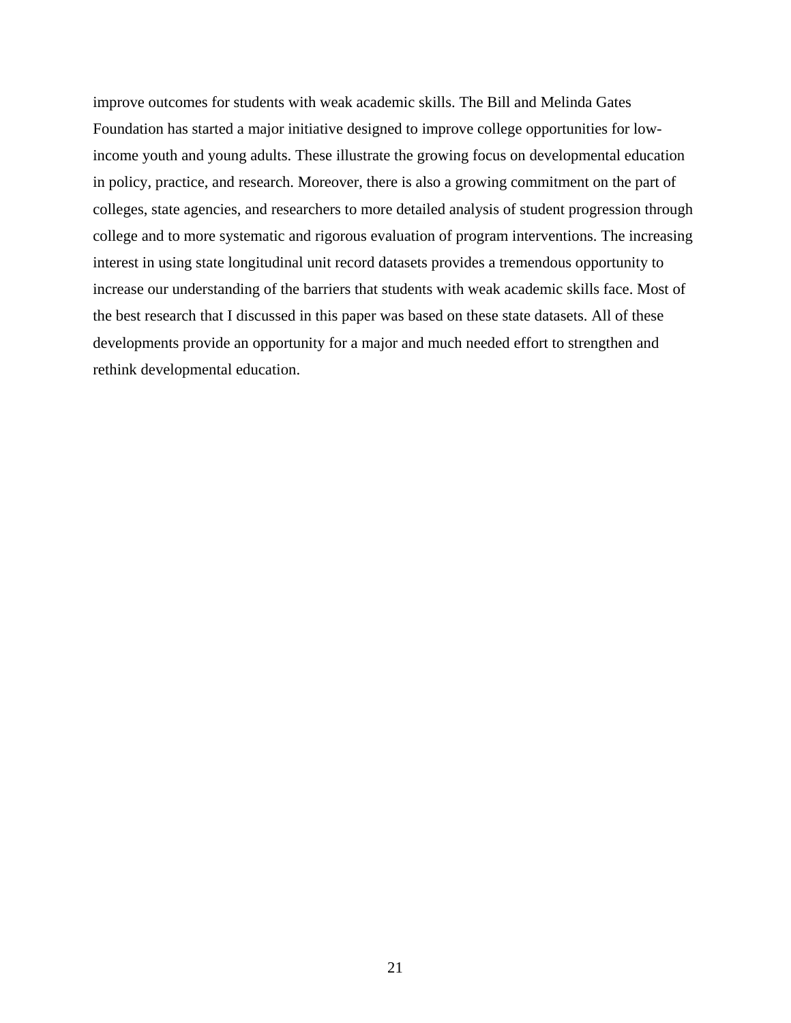improve outcomes for students with weak academic skills. The Bill and Melinda Gates Foundation has started a major initiative designed to improve college opportunities for lowincome youth and young adults. These illustrate the growing focus on developmental education in policy, practice, and research. Moreover, there is also a growing commitment on the part of colleges, state agencies, and researchers to more detailed analysis of student progression through college and to more systematic and rigorous evaluation of program interventions. The increasing interest in using state longitudinal unit record datasets provides a tremendous opportunity to increase our understanding of the barriers that students with weak academic skills face. Most of the best research that I discussed in this paper was based on these state datasets. All of these developments provide an opportunity for a major and much needed effort to strengthen and rethink developmental education.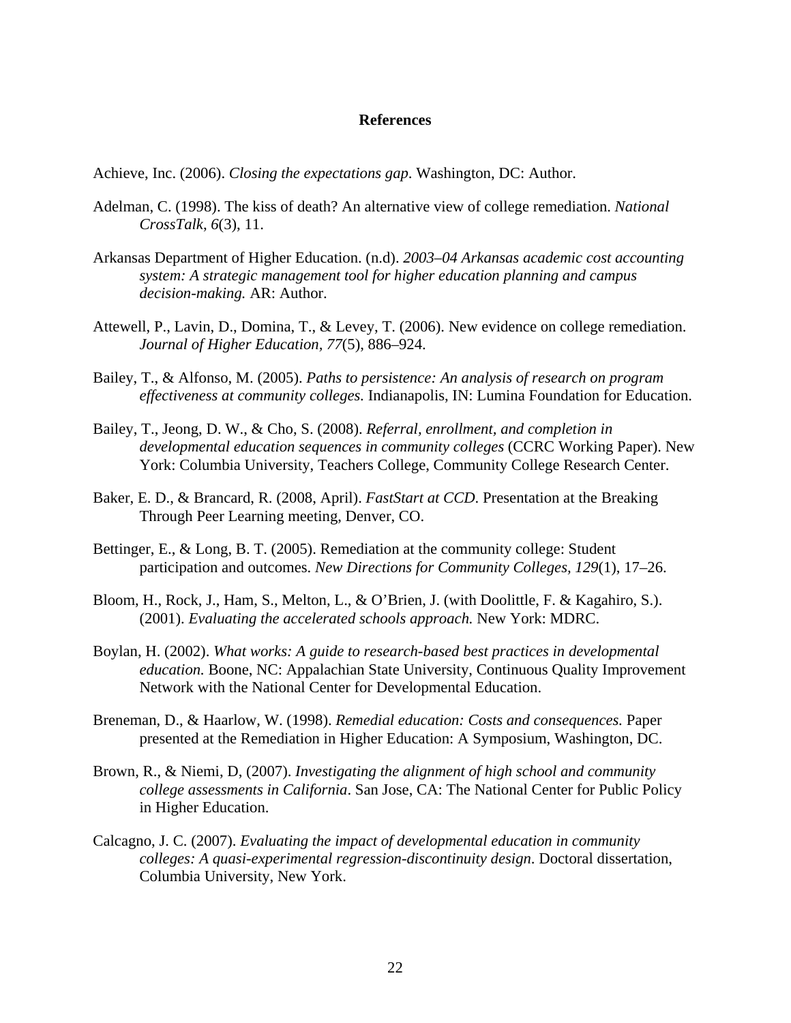#### **References**

<span id="page-25-0"></span>Achieve, Inc. (2006). *Closing the expectations gap*. Washington, DC: Author.

- Adelman, C. (1998). The kiss of death? An alternative view of college remediation. *National CrossTalk*, *6*(3), 11.
- Arkansas Department of Higher Education. (n.d). *2003–04 Arkansas academic cost accounting system: A strategic management tool for higher education planning and campus decision-making.* AR: Author.
- Attewell, P., Lavin, D., Domina, T., & Levey, T. (2006). New evidence on college remediation. *Journal of Higher Education, 77*(5), 886–924.
- Bailey, T., & Alfonso, M. (2005). *Paths to persistence: An analysis of research on program effectiveness at community colleges.* Indianapolis, IN: Lumina Foundation for Education.
- Bailey, T., Jeong, D. W., & Cho, S. (2008). *Referral, enrollment, and completion in developmental education sequences in community colleges* (CCRC Working Paper). New York: Columbia University, Teachers College, Community College Research Center.
- Baker, E. D., & Brancard, R. (2008, April). *[FastStart at CCD](mailto:FastStart@CCD)*. Presentation at the Breaking Through Peer Learning meeting, Denver, CO.
- Bettinger, E., & Long, B. T. (2005). Remediation at the community college: Student participation and outcomes. *New Directions for Community Colleges, 129*(1), 17–26.
- Bloom, H., Rock, J., Ham, S., Melton, L., & O'Brien, J. (with Doolittle, F. & Kagahiro, S.). (2001). *Evaluating the accelerated schools approach.* New York: MDRC.
- Boylan, H. (2002). *What works: A guide to research-based best practices in developmental education.* Boone, NC: Appalachian State University, Continuous Quality Improvement Network with the National Center for Developmental Education.
- Breneman, D., & Haarlow, W. (1998). *Remedial education: Costs and consequences.* Paper presented at the Remediation in Higher Education: A Symposium, Washington, DC.
- Brown, R., & Niemi, D, (2007). *Investigating the alignment of high school and community college assessments in California*. San Jose, CA: The National Center for Public Policy in Higher Education.
- Calcagno, J. C. (2007). *Evaluating the impact of developmental education in community colleges: A quasi-experimental regression-discontinuity design*. Doctoral dissertation, Columbia University, New York.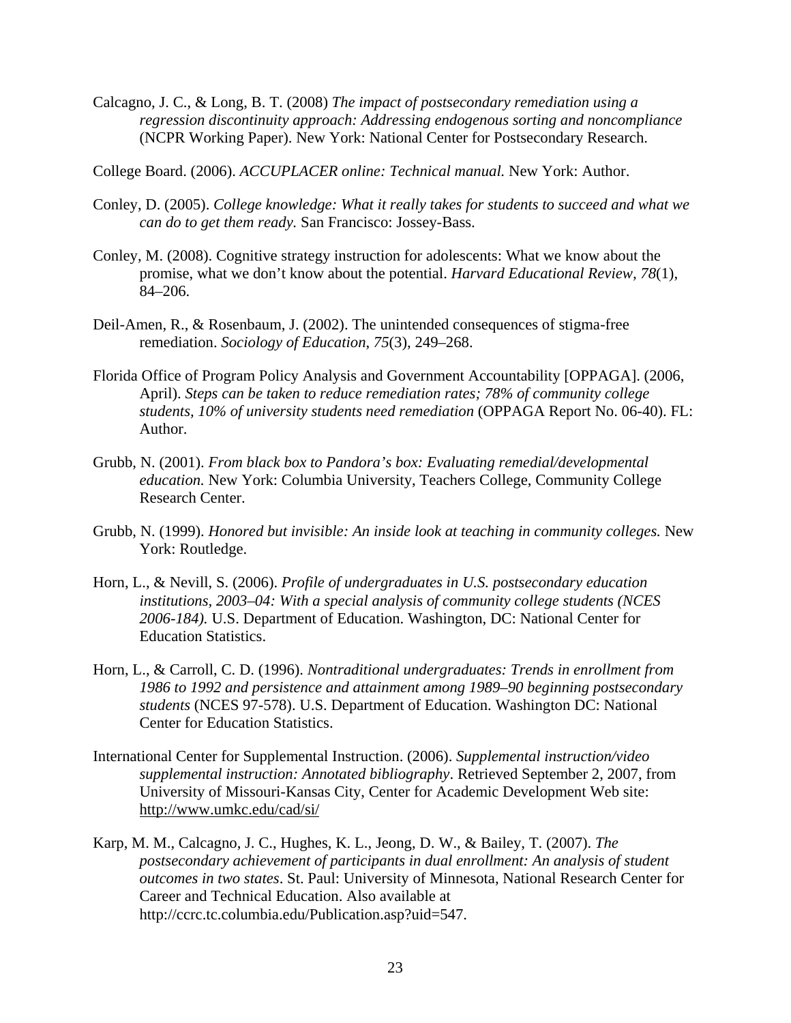Calcagno, J. C., & Long, B. T. (2008) *The impact of postsecondary remediation using a regression discontinuity approach: Addressing endogenous sorting and noncompliance* (NCPR Working Paper). New York: National Center for Postsecondary Research.

College Board. (2006). *ACCUPLACER online: Technical manual.* New York: Author.

- Conley, D. (2005). *College knowledge: What it really takes for students to succeed and what we can do to get them ready.* San Francisco: Jossey-Bass.
- Conley, M. (2008). Cognitive strategy instruction for adolescents: What we know about the promise, what we don't know about the potential. *Harvard Educational Review, 78*(1), 84–206.
- Deil-Amen, R., & Rosenbaum, J. (2002). The unintended consequences of stigma-free remediation. *Sociology of Education*, *75*(3), 249–268.
- Florida Office of Program Policy Analysis and Government Accountability [OPPAGA]. (2006, April). *Steps can be taken to reduce remediation rates; 78% of community college students, 10% of university students need remediation* (OPPAGA Report No. 06-40). FL: Author.
- Grubb, N. (2001). *From black box to Pandora's box: Evaluating remedial/developmental education.* New York: Columbia University, Teachers College, Community College Research Center.
- Grubb, N. (1999). *Honored but invisible: An inside look at teaching in community colleges.* New York: Routledge.
- Horn, L., & Nevill, S. (2006). *Profile of undergraduates in U.S. postsecondary education institutions, 2003–04: With a special analysis of community college students (NCES 2006-184).* U.S. Department of Education. Washington, DC: National Center for Education Statistics.
- Horn, L., & Carroll, C. D. (1996). *Nontraditional undergraduates: Trends in enrollment from 1986 to 1992 and persistence and attainment among 1989–90 beginning postsecondary students* (NCES 97-578). U.S. Department of Education. Washington DC: National Center for Education Statistics.
- International Center for Supplemental Instruction. (2006). *Supplemental instruction/video supplemental instruction: Annotated bibliography*. Retrieved September 2, 2007, from University of Missouri-Kansas City, Center for Academic Development Web site: <http://www.umkc.edu/cad/si/>
- Karp, M. M., Calcagno, J. C., Hughes, K. L., Jeong, D. W., & Bailey, T. (2007). *The postsecondary achievement of participants in dual enrollment: An analysis of student outcomes in two states*. St. Paul: University of Minnesota, National Research Center for Career and Technical Education. Also available at <http://ccrc.tc.columbia.edu/Publication.asp?uid=547.>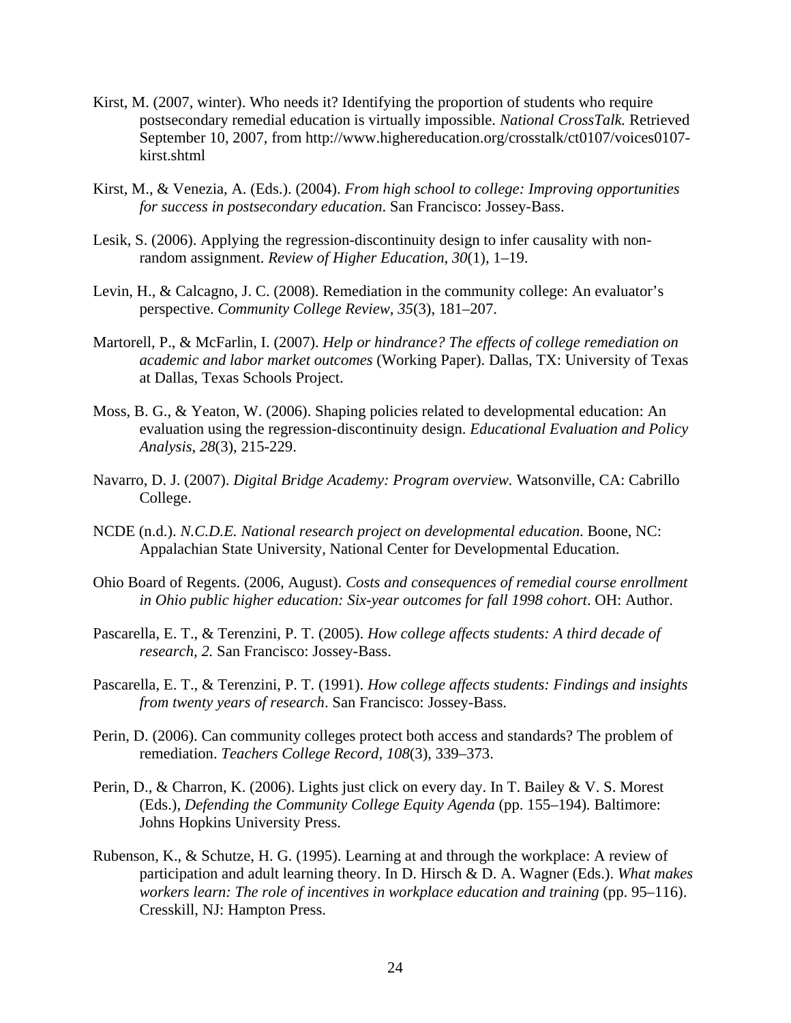- Kirst, M. (2007, winter). Who needs it? Identifying the proportion of students who require postsecondary remedial education is virtually impossible. *National CrossTalk.* Retrieved September 10, 2007, from [http://www.highereducation.org/crosstalk/ct0107/voices0107](http://www.highereducation.org/crosstalk/ct0107/voices0107-kirst.shtml) [kirst.shtml](http://www.highereducation.org/crosstalk/ct0107/voices0107-kirst.shtml)
- Kirst, M., & Venezia, A. (Eds.). (2004). *From high school to college: Improving opportunities for success in postsecondary education*. San Francisco: Jossey-Bass.
- Lesik, S. (2006). Applying the regression-discontinuity design to infer causality with nonrandom assignment. *Review of Higher Education*, *30*(1), 1–19.
- Levin, H., & Calcagno, J. C. (2008). Remediation in the community college: An evaluator's perspective. *Community College Review*, *35*(3), 181–207.
- Martorell, P., & McFarlin, I. (2007). *Help or hindrance? The effects of college remediation on academic and labor market outcomes* (Working Paper). Dallas, TX: University of Texas at Dallas, Texas Schools Project.
- Moss, B. G., & Yeaton, W. (2006). Shaping policies related to developmental education: An evaluation using the regression-discontinuity design. *Educational Evaluation and Policy Analysis*, *28*(3), 215-229.
- Navarro, D. J. (2007). *Digital Bridge Academy: Program overview.* Watsonville, CA: Cabrillo College.
- NCDE (n.d.). *N.C.D.E. National research project on developmental education*. Boone, NC: Appalachian State University, National Center for Developmental Education.
- Ohio Board of Regents. (2006, August). *Costs and consequences of remedial course enrollment in Ohio public higher education: Six-year outcomes for fall 1998 cohort*. OH: Author.
- Pascarella, E. T., & Terenzini, P. T. (2005). *How college affects students: A third decade of research, 2.* San Francisco: Jossey-Bass.
- Pascarella, E. T., & Terenzini, P. T. (1991). *How college affects students: Findings and insights from twenty years of research*. San Francisco: Jossey-Bass.
- Perin, D. (2006). Can community colleges protect both access and standards? The problem of remediation. *Teachers College Record, 108*(3), 339–373.
- Perin, D., & Charron, K. (2006). Lights just click on every day. In T. Bailey & V. S. Morest (Eds.), *Defending the Community College Equity Agenda* (pp. 155–194)*.* Baltimore: Johns Hopkins University Press.
- Rubenson, K., & Schutze, H. G. (1995). Learning at and through the workplace: A review of participation and adult learning theory. In D. Hirsch & D. A. Wagner (Eds.). *What makes workers learn: The role of incentives in workplace education and training* (pp. 95–116). Cresskill, NJ: Hampton Press.